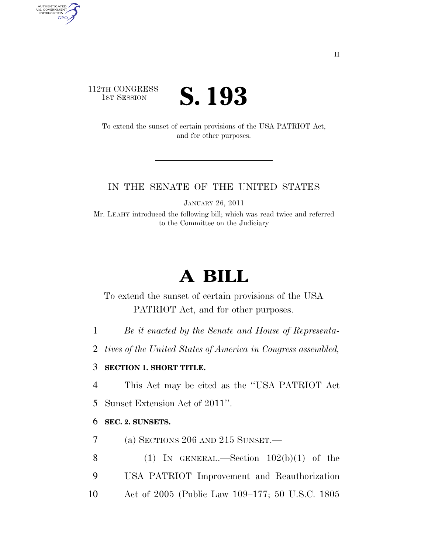### 112TH CONGRESS **IST SESSION S. 193**

AUTHENTICATED<br>U.S. GOVERNMENT<br>INFORMATION

**GPO** 

To extend the sunset of certain provisions of the USA PATRIOT Act, and for other purposes.

#### IN THE SENATE OF THE UNITED STATES

JANUARY 26, 2011

Mr. LEAHY introduced the following bill; which was read twice and referred to the Committee on the Judiciary

# **A BILL**

To extend the sunset of certain provisions of the USA PATRIOT Act, and for other purposes.

1 *Be it enacted by the Senate and House of Representa-*

2 *tives of the United States of America in Congress assembled,* 

#### 3 **SECTION 1. SHORT TITLE.**

4 This Act may be cited as the ''USA PATRIOT Act

5 Sunset Extension Act of 2011''.

#### 6 **SEC. 2. SUNSETS.**

7 (a) SECTIONS 206 AND 215 SUNSET.—

8 (1) IN GENERAL.—Section  $102(b)(1)$  of the 9 USA PATRIOT Improvement and Reauthorization 10 Act of 2005 (Public Law 109–177; 50 U.S.C. 1805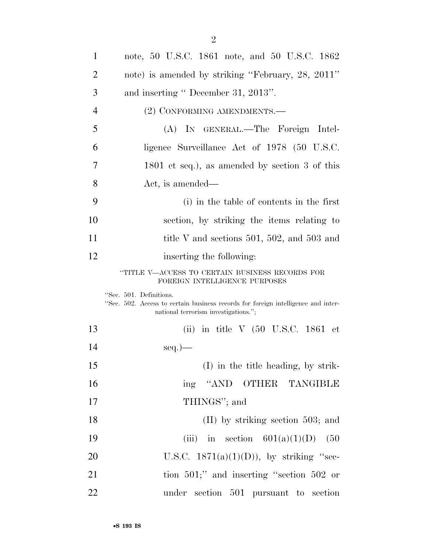| $\mathbf{1}$   | note, 50 U.S.C. 1861 note, and 50 U.S.C. 1862                                                                                                        |
|----------------|------------------------------------------------------------------------------------------------------------------------------------------------------|
| $\overline{2}$ | note) is amended by striking "February, 28, 2011"                                                                                                    |
| 3              | and inserting " December 31, 2013".                                                                                                                  |
| $\overline{4}$ | (2) CONFORMING AMENDMENTS.-                                                                                                                          |
| 5              | (A) IN GENERAL.—The Foreign Intel-                                                                                                                   |
| 6              | ligence Surveillance Act of 1978 (50 U.S.C.                                                                                                          |
| 7              | $1801$ et seq.), as amended by section 3 of this                                                                                                     |
| 8              | Act, is amended—                                                                                                                                     |
| 9              | (i) in the table of contents in the first                                                                                                            |
| 10             | section, by striking the items relating to                                                                                                           |
| 11             | title V and sections 501, 502, and 503 and                                                                                                           |
| 12             | inserting the following:                                                                                                                             |
|                | "TITLE V—ACCESS TO CERTAIN BUSINESS RECORDS FOR<br>FOREIGN INTELLIGENCE PURPOSES                                                                     |
|                | "Sec. 501. Definitions.<br>"Sec. 502. Access to certain business records for foreign intelligence and inter-<br>national terrorism investigations."; |
| 13             | (ii) in title $V$ (50 U.S.C. 1861 et                                                                                                                 |
| 14             | $seq.$ )—                                                                                                                                            |
| 15             | (I) in the title heading, by strik-                                                                                                                  |
| 16             | ing "AND OTHER TANGIBLE                                                                                                                              |
| 17             | THINGS"; and                                                                                                                                         |
| 18             | $(II)$ by striking section 503; and                                                                                                                  |
| 19             | (iii) in section $601(a)(1)(D)$ (50                                                                                                                  |
| 20             | U.S.C. $1871(a)(1)(D)$ , by striking "sec-                                                                                                           |
| 21             | tion $501$ ;" and inserting "section $502$ or                                                                                                        |
| 22             | under section 501 pursuant to section                                                                                                                |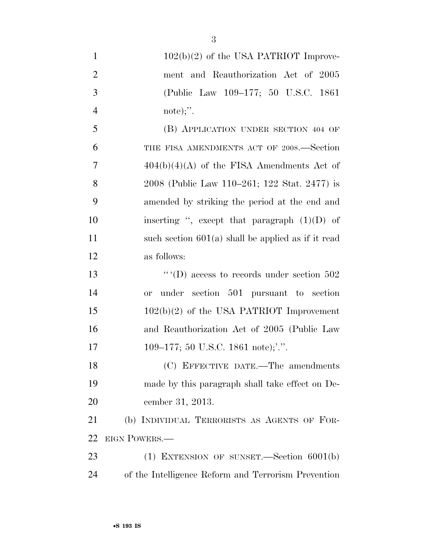| $\mathbf{1}$   | $102(b)(2)$ of the USA PATRIOT Improve-              |
|----------------|------------------------------------------------------|
| $\overline{2}$ | ment and Reauthorization Act of 2005                 |
| 3              | (Public Law 109-177; 50 U.S.C. 1861)                 |
| $\overline{4}$ | note);".                                             |
| 5              | (B) APPLICATION UNDER SECTION 404 OF                 |
| 6              | THE FISA AMENDMENTS ACT OF 2008.-Section             |
| 7              | $404(b)(4)(A)$ of the FISA Amendments Act of         |
| 8              | 2008 (Public Law 110–261; 122 Stat. 2477) is         |
| 9              | amended by striking the period at the end and        |
| 10             | inserting ", except that paragraph $(1)(D)$ of       |
| 11             | such section $601(a)$ shall be applied as if it read |
| 12             | as follows:                                          |
| 13             | " $(D)$ access to records under section 502          |
| 14             | under section 501 pursuant to section<br><b>or</b>   |
| 15             | $102(b)(2)$ of the USA PATRIOT Improvement           |
| 16             | and Reauthorization Act of 2005 (Public Law          |
| 17             | 109–177; 50 U.S.C. 1861 note);'.''.                  |
| 18             | (C) EFFECTIVE DATE.—The amendments                   |
| 19             | made by this paragraph shall take effect on De-      |
| 20             | cember 31, 2013.                                     |
| 21             | (b) INDIVIDUAL TERRORISTS AS AGENTS OF FOR-          |
| 22             | EIGN POWERS.                                         |
| 23             | $(1)$ EXTENSION OF SUNSET.—Section $6001(b)$         |
| 24             | of the Intelligence Reform and Terrorism Prevention  |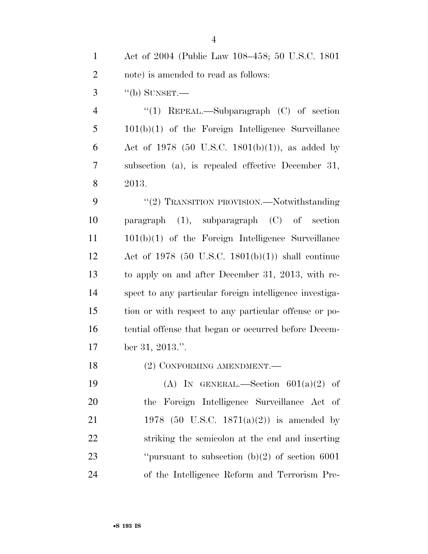| $1 -$ | Act of 2004 (Public Law 108–458; 50 U.S.C. 1801) |
|-------|--------------------------------------------------|
| 2     | note) is amended to read as follows:             |
|       | $3$ "(b) SUNSET.                                 |

4 "(1) REPEAL.—Subparagraph (C) of section 101(b)(1) of the Foreign Intelligence Surveillance 6 Act of 1978 (50 U.S.C. 1801(b)(1)), as added by subsection (a), is repealed effective December 31, 2013.

9 "(2) TRANSITION PROVISION.—Notwithstanding paragraph (1), subparagraph (C) of section 101(b)(1) of the Foreign Intelligence Surveillance Act of 1978 (50 U.S.C. 1801(b)(1)) shall continue to apply on and after December 31, 2013, with re- spect to any particular foreign intelligence investiga- tion or with respect to any particular offense or po- tential offense that began or occurred before Decem-ber 31, 2013.''.

18 (2) CONFORMING AMENDMENT.

19 (A) IN GENERAL.—Section  $601(a)(2)$  of the Foreign Intelligence Surveillance Act of 1978 (50 U.S.C. 1871(a)(2)) is amended by striking the semicolon at the end and inserting ''pursuant to subsection (b)(2) of section 6001 of the Intelligence Reform and Terrorism Pre-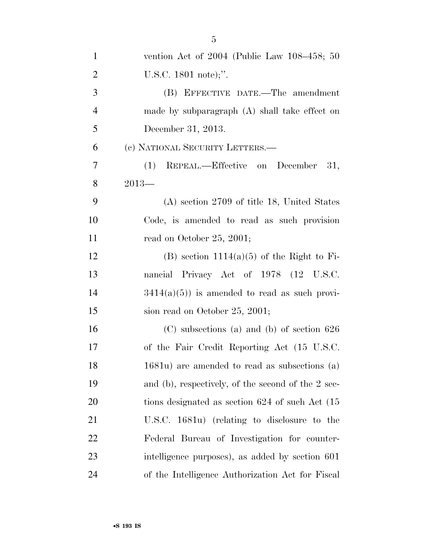| $\mathbf{1}$   | vention Act of $2004$ (Public Law $108-458$ ; 50   |
|----------------|----------------------------------------------------|
| $\overline{2}$ | U.S.C. $1801$ note);".                             |
| 3              | (B) EFFECTIVE DATE.—The amendment                  |
| $\overline{4}$ | made by subparagraph $(A)$ shall take effect on    |
| 5              | December 31, 2013.                                 |
| 6              | (c) NATIONAL SECURITY LETTERS.—                    |
| 7              | (1) REPEAL.—Effective on December<br>- 31,         |
| 8              | $2013-$                                            |
| 9              | $(A)$ section 2709 of title 18, United States      |
| 10             | Code, is amended to read as such provision         |
| 11             | read on October 25, 2001;                          |
| 12             | $(B)$ section 1114(a)(5) of the Right to Fi-       |
| 13             | nancial Privacy Act of 1978 (12 U.S.C.             |
| 14             | $3414(a)(5)$ is amended to read as such provi-     |
| 15             | sion read on October 25, 2001;                     |
| 16             | $(C)$ subsections (a) and (b) of section 626       |
| 17             | of the Fair Credit Reporting Act (15 U.S.C.        |
| 18             | 1681u) are amended to read as subsections (a)      |
| 19             | and (b), respectively, of the second of the 2 sec- |
| 20             | tions designated as section 624 of such Act (15)   |
| 21             | U.S.C. 1681u) (relating to disclosure to the       |
| 22             | Federal Bureau of Investigation for counter-       |
| 23             | intelligence purposes), as added by section 601    |
| 24             | of the Intelligence Authorization Act for Fiscal   |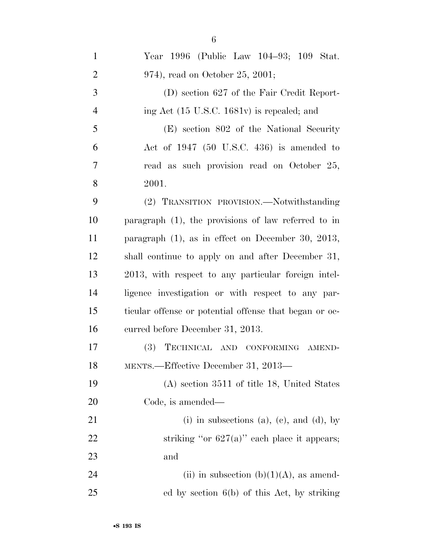| $\mathbf{1}$   | Year 1996 (Public Law 104-93; 109 Stat.                |
|----------------|--------------------------------------------------------|
| $\overline{2}$ | 974), read on October 25, 2001;                        |
| 3              | (D) section 627 of the Fair Credit Report-             |
| $\overline{4}$ | ing Act $(15 \text{ U.S.C. } 1681v)$ is repealed; and  |
| 5              | (E) section 802 of the National Security               |
| 6              | Act of $1947$ (50 U.S.C. 436) is amended to            |
| 7              | read as such provision read on October 25,             |
| 8              | 2001.                                                  |
| 9              | (2) TRANSITION PROVISION.-Notwithstanding              |
| 10             | paragraph $(1)$ , the provisions of law referred to in |
| 11             | paragraph $(1)$ , as in effect on December 30, 2013,   |
| 12             | shall continue to apply on and after December 31,      |
| 13             | 2013, with respect to any particular foreign intel-    |
| 14             | ligence investigation or with respect to any par-      |
| 15             | ticular offense or potential offense that began or oc- |
| 16             | curred before December 31, 2013.                       |
| 17             | (3)<br>TECHNICAL AND CONFORMING AMEND-                 |
| 18             | MENTS.-Effective December 31, 2013-                    |
| 19             | $(A)$ section 3511 of title 18, United States          |
| 20             | Code, is amended—                                      |
| 21             | (i) in subsections (a), (c), and (d), by               |
| 22             | striking "or $627(a)$ " each place it appears;         |
| 23             | and                                                    |
| 24             | (ii) in subsection (b) $(1)(A)$ , as amend-            |
| 25             | ed by section $6(b)$ of this Act, by striking          |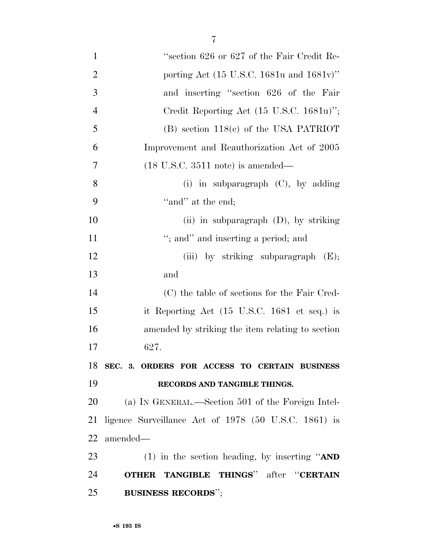| $\mathbf{1}$   | "section 626 or 627 of the Fair Credit Re-           |
|----------------|------------------------------------------------------|
| $\overline{2}$ | porting Act (15 U.S.C. 1681u and 1681v)"             |
| 3              | and inserting "section 626 of the Fair               |
| $\overline{4}$ | Credit Reporting Act $(15 \text{ U.S.C. } 1681u)$ "; |
| 5              | $(B)$ section 118 $(e)$ of the USA PATRIOT           |
| 6              | Improvement and Reauthorization Act of 2005          |
| 7              | $(18 \text{ U.S.C. } 3511 \text{ note})$ is amended— |
| 8              | (i) in subparagraph $(C)$ , by adding                |
| 9              | "and" at the end;                                    |
| 10             | (ii) in subparagraph $(D)$ , by striking             |
| 11             | "; and" and inserting a period; and                  |
| 12             | (iii) by striking subparagraph $(E)$ ;               |
| 13             | and                                                  |
| 14             | (C) the table of sections for the Fair Cred-         |
| 15             | it Reporting Act (15 U.S.C. 1681 et seq.) is         |
| 16             | amended by striking the item relating to section     |
| 17             | 627.                                                 |
| 18             | SEC. 3. ORDERS FOR ACCESS TO CERTAIN BUSINESS        |
| 19             | RECORDS AND TANGIBLE THINGS.                         |
| 20             | (a) IN GENERAL.—Section 501 of the Foreign Intel-    |
| 21             | ligence Surveillance Act of 1978 (50 U.S.C. 1861) is |
| 22             | amended—                                             |
| 23             | (1) in the section heading, by inserting " $AND$     |
| 24             | <b>OTHER TANGIBLE THINGS"</b> after "CERTAIN         |
| 25             | <b>BUSINESS RECORDS";</b>                            |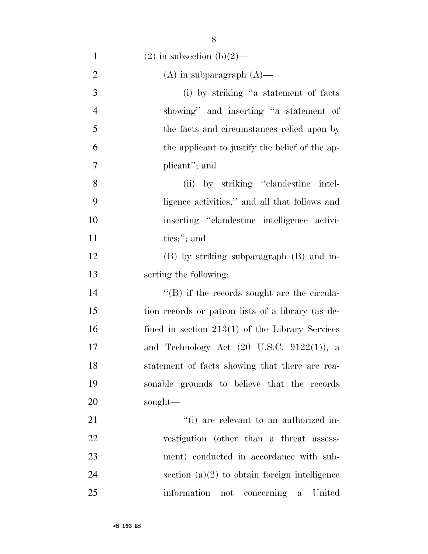| $\mathbf{1}$   | $(2)$ in subsection $(b)(2)$ —                        |
|----------------|-------------------------------------------------------|
| $\overline{2}$ | $(A)$ in subparagraph $(A)$ —                         |
| 3              | (i) by striking "a statement of facts                 |
| $\overline{4}$ | showing" and inserting "a statement of                |
| 5              | the facts and circumstances relied upon by            |
| 6              | the applicant to justify the belief of the ap-        |
| 7              | plicant"; and                                         |
| 8              | (ii) by striking "clandestine intel-                  |
| 9              | ligence activities," and all that follows and         |
| 10             | inserting "clandestine intelligence activi-           |
| 11             | ties;"; and                                           |
| 12             | (B) by striking subparagraph (B) and in-              |
| 13             | serting the following:                                |
| 14             | $\lq\lq (B)$ if the records sought are the circula-   |
| 15             | tion records or patron lists of a library (as de-     |
| 16             | fined in section $213(1)$ of the Library Services     |
| 17             | and Technology Act $(20 \text{ U.S.C. } 9122(1))$ , a |
| 18             | statement of facts showing that there are rea-        |
| 19             | sonable grounds to believe that the records           |
| <b>20</b>      | sought—                                               |
| 21             | "(i) are relevant to an authorized in-                |
| 22             | vestigation (other than a threat assess-              |
| 23             | ment) conducted in accordance with sub-               |
| 24             | section $(a)(2)$ to obtain foreign intelligence       |
| 25             | information not concerning<br>United<br>a             |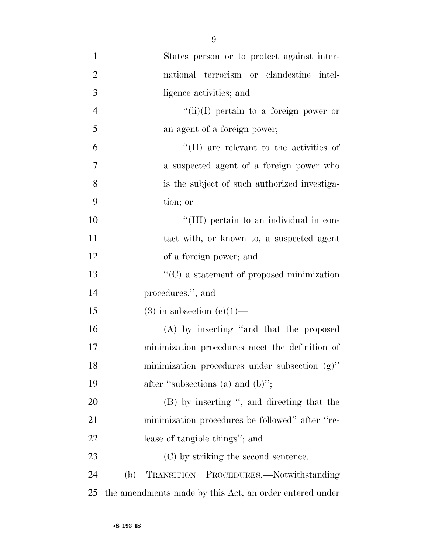| $\mathbf{1}$   | States person or to protect against inter-              |
|----------------|---------------------------------------------------------|
| $\overline{2}$ | national terrorism or clandestine intel-                |
| 3              | ligence activities; and                                 |
| $\overline{4}$ | $``(ii)(I)$ pertain to a foreign power or               |
| 5              | an agent of a foreign power;                            |
| 6              | "(II) are relevant to the activities of                 |
| 7              | a suspected agent of a foreign power who                |
| 8              | is the subject of such authorized investiga-            |
| 9              | tion; or                                                |
| 10             | "(III) pertain to an individual in con-                 |
| 11             | tact with, or known to, a suspected agent               |
| 12             | of a foreign power; and                                 |
| 13             | $\lq\lq$ a statement of proposed minimization           |
| 14             | procedures."; and                                       |
| 15             | $(3)$ in subsection $(e)(1)$ —                          |
| 16             | (A) by inserting "and that the proposed                 |
| 17             | minimization procedures meet the definition of          |
| 18             | minimization procedures under subsection (g)"           |
| 19             | after "subsections (a) and (b)";                        |
| 20             | (B) by inserting ", and directing that the              |
| 21             | minimization procedures be followed" after "re-         |
| 22             | lease of tangible things"; and                          |
| 23             | (C) by striking the second sentence.                    |
| 24             | TRANSITION PROCEDURES.-Notwithstanding<br>(b)           |
| 25             | the amendments made by this Act, an order entered under |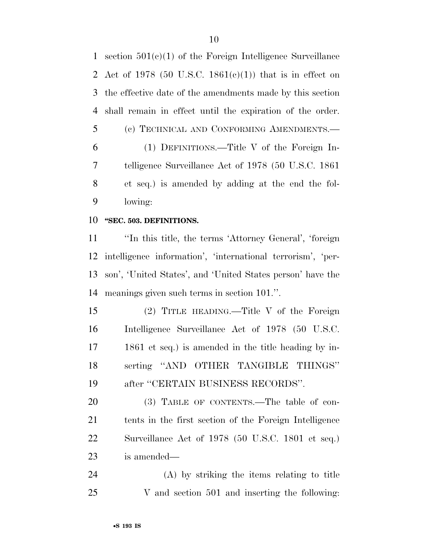section 501(c)(1) of the Foreign Intelligence Surveillance 2 Act of 1978 (50 U.S.C. 1861(c)(1)) that is in effect on the effective date of the amendments made by this section shall remain in effect until the expiration of the order. (c) TECHNICAL AND CONFORMING AMENDMENTS.— (1) DEFINITIONS.—Title V of the Foreign In- telligence Surveillance Act of 1978 (50 U.S.C. 1861 et seq.) is amended by adding at the end the fol-lowing:

#### **''SEC. 503. DEFINITIONS.**

 ''In this title, the terms 'Attorney General', 'foreign intelligence information', 'international terrorism', 'per- son', 'United States', and 'United States person' have the meanings given such terms in section 101.''.

 (2) TITLE HEADING.—Title V of the Foreign Intelligence Surveillance Act of 1978 (50 U.S.C. 1861 et seq.) is amended in the title heading by in- serting ''AND OTHER TANGIBLE THINGS'' after ''CERTAIN BUSINESS RECORDS''.

20 (3) TABLE OF CONTENTS.—The table of con- tents in the first section of the Foreign Intelligence Surveillance Act of 1978 (50 U.S.C. 1801 et seq.) is amended—

 (A) by striking the items relating to title V and section 501 and inserting the following: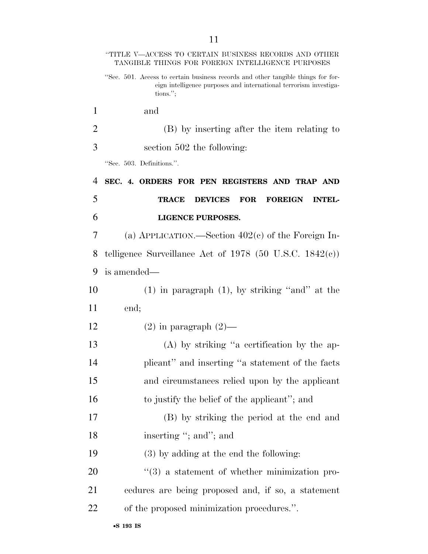|    | "TITLE V—ACCESS TO CERTAIN BUSINESS RECORDS AND OTHER<br>TANGIBLE THINGS FOR FOREIGN INTELLIGENCE PURPOSES                                                           |
|----|----------------------------------------------------------------------------------------------------------------------------------------------------------------------|
|    | "Sec. 501. Access to certain business records and other tangible things for for-<br>eign intelligence purposes and international terrorism investiga-<br>$tions.$ "; |
| 1  | and                                                                                                                                                                  |
| 2  | (B) by inserting after the item relating to                                                                                                                          |
| 3  | section 502 the following:                                                                                                                                           |
|    | "Sec. 503. Definitions.".                                                                                                                                            |
| 4  | SEC. 4. ORDERS FOR PEN REGISTERS AND TRAP AND                                                                                                                        |
| 5  | <b>DEVICES</b><br><b>FOREIGN</b><br><b>TRACE</b><br><b>FOR</b><br><b>INTEL-</b>                                                                                      |
| 6  | <b>LIGENCE PURPOSES.</b>                                                                                                                                             |
| 7  | (a) APPLICATION.—Section $402(e)$ of the Foreign In-                                                                                                                 |
| 8  | telligence Surveillance Act of 1978 (50 U.S.C. 1842 $(c)$ )                                                                                                          |
| 9  | is amended—                                                                                                                                                          |
| 10 | $(1)$ in paragraph $(1)$ , by striking "and" at the                                                                                                                  |
| 11 | end;                                                                                                                                                                 |
| 12 | $(2)$ in paragraph $(2)$ —                                                                                                                                           |
| 13 | $(A)$ by striking "a certification by the ap-                                                                                                                        |
| 14 | plicant" and inserting "a statement of the facts                                                                                                                     |
| 15 | and circumstances relied upon by the applicant                                                                                                                       |
| 16 | to justify the belief of the applicant"; and                                                                                                                         |
| 17 | (B) by striking the period at the end and                                                                                                                            |
| 18 | inserting "; and"; and                                                                                                                                               |
| 19 | $(3)$ by adding at the end the following:                                                                                                                            |
| 20 | $\cdot\cdot\cdot(3)$ a statement of whether minimization pro-                                                                                                        |
| 21 | cedures are being proposed and, if so, a statement                                                                                                                   |
| 22 | of the proposed minimization procedures.".                                                                                                                           |
|    |                                                                                                                                                                      |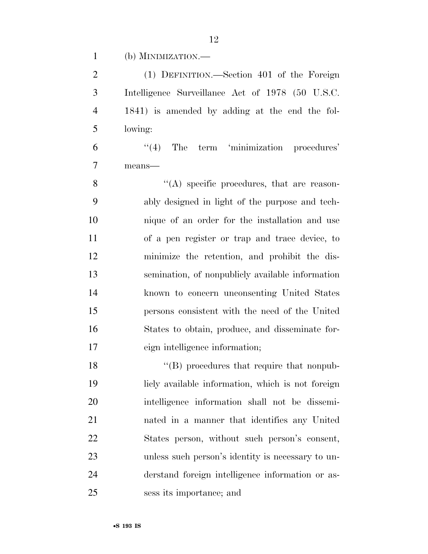(b) MINIMIZATION.—

 (1) DEFINITION.—Section 401 of the Foreign Intelligence Surveillance Act of 1978 (50 U.S.C. 1841) is amended by adding at the end the fol-lowing:

 ''(4) The term 'minimization procedures' means—

8 ''(A) specific procedures, that are reason- ably designed in light of the purpose and tech- nique of an order for the installation and use of a pen register or trap and trace device, to minimize the retention, and prohibit the dis- semination, of nonpublicly available information known to concern unconsenting United States persons consistent with the need of the United States to obtain, produce, and disseminate for-eign intelligence information;

18 ''(B) procedures that require that nonpub- licly available information, which is not foreign intelligence information shall not be dissemi- nated in a manner that identifies any United States person, without such person's consent, unless such person's identity is necessary to un- derstand foreign intelligence information or as-sess its importance; and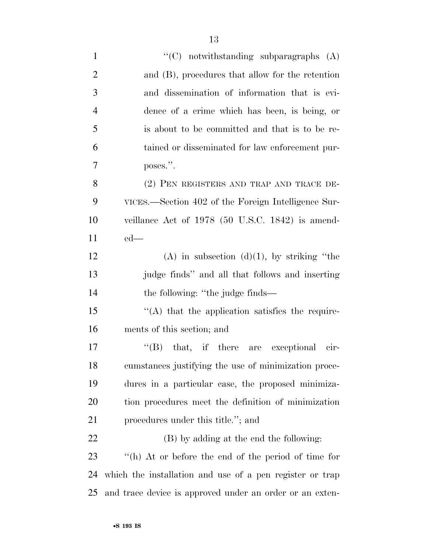| $\mathbf{1}$   | "(C) notwithstanding subparagraphs $(A)$                 |
|----------------|----------------------------------------------------------|
| $\overline{2}$ | and (B), procedures that allow for the retention         |
| 3              | and dissemination of information that is evi-            |
| $\overline{4}$ | dence of a crime which has been, is being, or            |
| 5              | is about to be committed and that is to be re-           |
| 6              | tained or disseminated for law enforcement pur-          |
| 7              | poses.".                                                 |
| 8              | (2) PEN REGISTERS AND TRAP AND TRACE DE-                 |
| 9              | VICES.—Section 402 of the Foreign Intelligence Sur-      |
| 10             | veillance Act of $1978$ (50 U.S.C. 1842) is amend-       |
| 11             | $ed$ —                                                   |
| 12             | (A) in subsection (d)(1), by striking "the               |
| 13             | judge finds" and all that follows and inserting          |
| 14             | the following: "the judge finds—                         |
| 15             | "(A) that the application satisfies the require-         |
| 16             | ments of this section; and                               |
| 17             | $\lq\lq (B)$ that, if there are exceptional cir-         |
| 18             | cumstances justifying the use of minimization proce-     |
| 19             | dures in a particular case, the proposed minimiza-       |
| 20             | tion procedures meet the definition of minimization      |
| 21             | procedures under this title."; and                       |
| 22             | (B) by adding at the end the following:                  |
| 23             | "(h) At or before the end of the period of time for      |
| 24             | which the installation and use of a pen register or trap |
| 25             | and trace device is approved under an order or an exten- |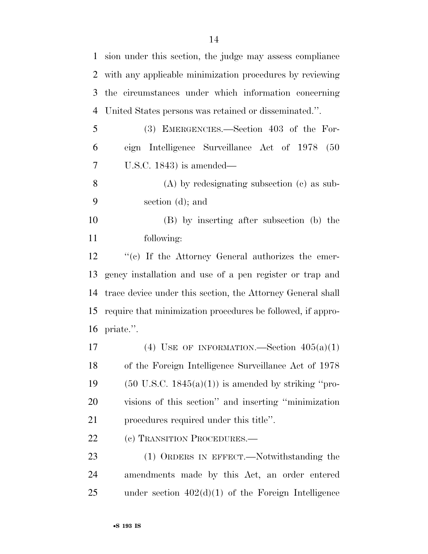| $\mathbf{1}$ | sion under this section, the judge may assess compliance       |
|--------------|----------------------------------------------------------------|
| 2            | with any applicable minimization procedures by reviewing       |
| 3            | the circumstances under which information concerning           |
| 4            | United States persons was retained or disseminated.".          |
| 5            | (3) EMERGENCIES.—Section 403 of the For-                       |
| 6            | eign Intelligence Surveillance Act of 1978<br>(50)             |
| 7            | U.S.C. 1843) is amended—                                       |
| 8            | $(A)$ by redesignating subsection $(c)$ as sub-                |
| 9            | section $(d)$ ; and                                            |
| 10           | (B) by inserting after subsection (b) the                      |
| 11           | following:                                                     |
| 12           | $\lq\lq$ (c) If the Attorney General authorizes the emer-      |
| 13           | gency installation and use of a pen register or trap and       |
| 14           | trace device under this section, the Attorney General shall    |
| 15           | require that minimization procedures be followed, if appro-    |
|              | 16 priate.".                                                   |
| 17           | (4) USE OF INFORMATION.—Section $405(a)(1)$                    |
| 18           | of the Foreign Intelligence Surveillance Act of 1978           |
| 19           | $(50 \text{ U.S.C. } 1845(a)(1))$ is amended by striking "pro- |
| 20           | visions of this section" and inserting "minimization           |
| 21           | procedures required under this title".                         |
| 22           | (c) TRANSITION PROCEDURES.                                     |
| 23           | (1) ORDERS IN EFFECT.—Notwithstanding the                      |
| 24           | amendments made by this Act, an order entered                  |
| 25           | under section $402(d)(1)$ of the Foreign Intelligence          |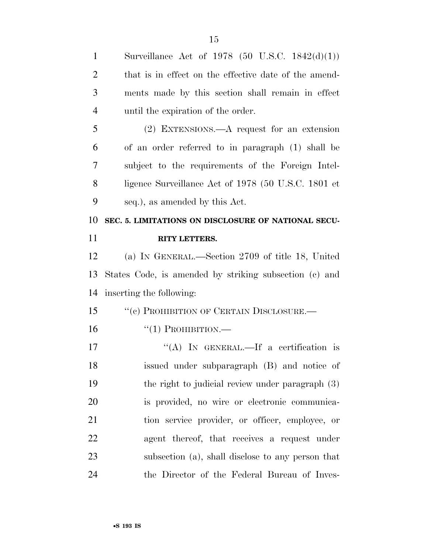| $\mathbf{1}$   | Surveillance Act of 1978 (50 U.S.C. 1842 $(d)(1)$ )    |
|----------------|--------------------------------------------------------|
| $\overline{2}$ | that is in effect on the effective date of the amend-  |
| 3              | ments made by this section shall remain in effect      |
| $\overline{4}$ | until the expiration of the order.                     |
| 5              | $(2)$ EXTENSIONS.—A request for an extension           |
| 6              | of an order referred to in paragraph (1) shall be      |
| 7              | subject to the requirements of the Foreign Intel-      |
| 8              | ligence Surveillance Act of 1978 (50 U.S.C. 1801 et    |
| 9              | seq.), as amended by this Act.                         |
| 10             | SEC. 5. LIMITATIONS ON DISCLOSURE OF NATIONAL SECU-    |
| 11             | <b>RITY LETTERS.</b>                                   |
| 12             | (a) IN GENERAL.—Section 2709 of title 18, United       |
|                |                                                        |
| 13             | States Code, is amended by striking subsection (c) and |
| 14             | inserting the following:                               |
| 15             | "(c) PROHIBITION OF CERTAIN DISCLOSURE.-               |
| 16             | $\lq(1)$ PROHIBITION.—                                 |
| 17             | "(A) IN GENERAL.—If a certification is                 |
| 18             | issued under subparagraph (B) and notice of            |
| 19             | the right to judicial review under paragraph $(3)$     |
| 20             | is provided, no wire or electronic communica-          |
| 21             | tion service provider, or officer, employee, or        |
| <u>22</u>      | agent thereof, that receives a request under           |
| 23             | subsection (a), shall disclose to any person that      |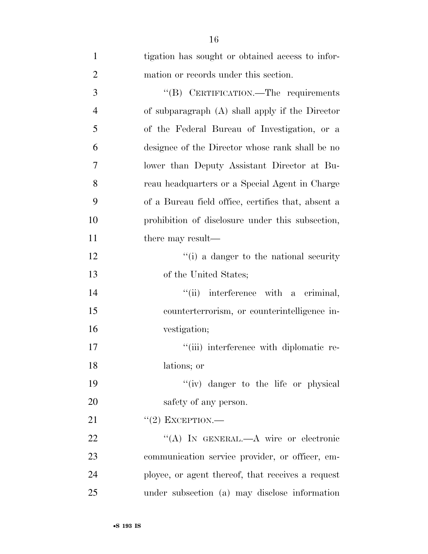| $\mathbf{1}$   | tigation has sought or obtained access to infor-   |
|----------------|----------------------------------------------------|
| $\overline{2}$ | mation or records under this section.              |
| 3              | "(B) CERTIFICATION.—The requirements               |
| $\overline{4}$ | of subparagraph (A) shall apply if the Director    |
| 5              | of the Federal Bureau of Investigation, or a       |
| 6              | designee of the Director whose rank shall be no    |
| 7              | lower than Deputy Assistant Director at Bu-        |
| 8              | reau headquarters or a Special Agent in Charge     |
| 9              | of a Bureau field office, certifies that, absent a |
| 10             | prohibition of disclosure under this subsection,   |
| 11             | there may result—                                  |
| 12             | "(i) a danger to the national security             |
| 13             | of the United States;                              |
| 14             | interference with a criminal,<br>``(ii)            |
| 15             | counterterrorism, or counterintelligence in-       |
| 16             | vestigation;                                       |
| 17             | "(iii) interference with diplomatic re-            |
| 18             | lations; or                                        |
| 19             | "(iv) danger to the life or physical               |
| 20             | safety of any person.                              |
| 21             | $"(2)$ EXCEPTION.—                                 |
| 22             | "(A) IN GENERAL.—A wire or electronic              |
| 23             | communication service provider, or officer, em-    |
| 24             | ployee, or agent thereof, that receives a request  |
| 25             | under subsection (a) may disclose information      |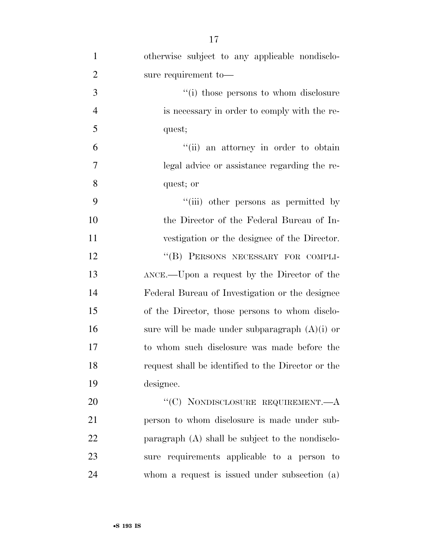| $\mathbf{1}$   | otherwise subject to any applicable nondisclo-     |
|----------------|----------------------------------------------------|
| $\overline{2}$ | sure requirement to-                               |
| 3              | "(i) those persons to whom disclosure              |
| $\overline{4}$ | is necessary in order to comply with the re-       |
| 5              | quest;                                             |
| 6              | "(ii) an attorney in order to obtain               |
| 7              | legal advice or assistance regarding the re-       |
| 8              | quest; or                                          |
| 9              | "(iii) other persons as permitted by               |
| 10             | the Director of the Federal Bureau of In-          |
| 11             | vestigation or the designee of the Director.       |
| 12             | "(B) PERSONS NECESSARY FOR COMPLI-                 |
| 13             | ANCE.—Upon a request by the Director of the        |
| 14             | Federal Bureau of Investigation or the designee    |
| 15             | of the Director, those persons to whom disclo-     |
| 16             | sure will be made under subparagraph $(A)(i)$ or   |
| 17             | to whom such disclosure was made before the        |
| 18             | request shall be identified to the Director or the |
| 19             | designee.                                          |
| 20             | "(C) NONDISCLOSURE REQUIREMENT.— $A$               |
| 21             | person to whom disclosure is made under sub-       |
| 22             | paragraph (A) shall be subject to the nondisclo-   |
| $23\,$         | sure requirements applicable to a person to        |

whom a request is issued under subsection (a)

•**S 193 IS**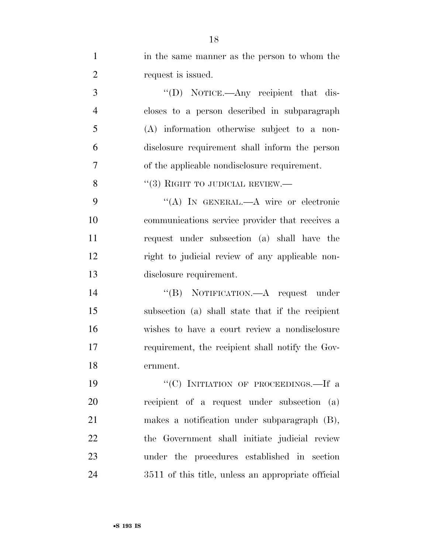| $\mathbf{1}$   | in the same manner as the person to whom the       |
|----------------|----------------------------------------------------|
| $\overline{2}$ | request is issued.                                 |
| 3              | "(D) NOTICE.—Any recipient that dis-               |
| $\overline{4}$ | closes to a person described in subparagraph       |
| 5              | (A) information otherwise subject to a non-        |
| 6              | disclosure requirement shall inform the person     |
| $\overline{7}$ | of the applicable nondisclosure requirement.       |
| 8              | "(3) RIGHT TO JUDICIAL REVIEW.—                    |
| 9              | "(A) IN GENERAL.—A wire or electronic              |
| 10             | communications service provider that receives a    |
| 11             | request under subsection (a) shall have the        |
| 12             | right to judicial review of any applicable non-    |
| 13             | disclosure requirement.                            |
| 14             | "(B) NOTIFICATION.—A request under                 |
| 15             | subsection (a) shall state that if the recipient   |
| 16             | wishes to have a court review a nondisclosure      |
| 17             | requirement, the recipient shall notify the Gov-   |
| 18             | ernment.                                           |
| 19             | "(C) INITIATION OF PROCEEDINGS.—If a               |
| 20             | recipient of a request under subsection (a)        |
| 21             | makes a notification under subparagraph (B),       |
| 22             | the Government shall initiate judicial review      |
| 23             | under the procedures established in section        |
| 24             | 3511 of this title, unless an appropriate official |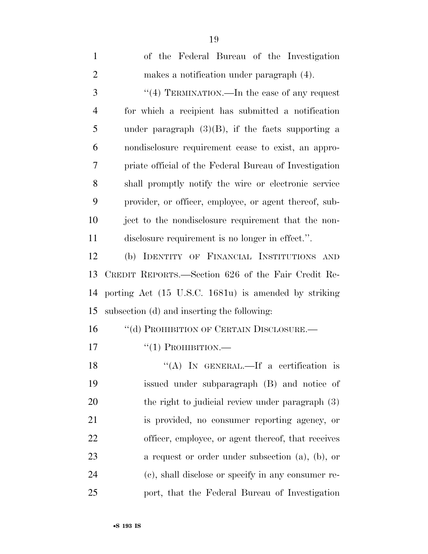| $\mathbf{1}$   | of the Federal Bureau of the Investigation             |
|----------------|--------------------------------------------------------|
| $\overline{2}$ | makes a notification under paragraph (4).              |
| 3              | "(4) TERMINATION.—In the case of any request           |
| $\overline{4}$ | for which a recipient has submitted a notification     |
| 5              | under paragraph $(3)(B)$ , if the facts supporting a   |
| 6              | nondisclosure requirement cease to exist, an appro-    |
| 7              | priate official of the Federal Bureau of Investigation |
| 8              | shall promptly notify the wire or electronic service   |
| 9              | provider, or officer, employee, or agent thereof, sub- |
| 10             | ject to the nondisclosure requirement that the non-    |
| 11             | disclosure requirement is no longer in effect.".       |
| 12             | (b) IDENTITY OF FINANCIAL INSTITUTIONS AND             |
| 13             | CREDIT REPORTS.—Section 626 of the Fair Credit Re-     |
| 14             | porting Act (15 U.S.C. 1681u) is amended by striking   |
| 15             | subsection (d) and inserting the following:            |
| 16             | "(d) PROHIBITION OF CERTAIN DISCLOSURE.—               |
| 17             | $\lq(1)$ PROHIBITION.—                                 |
| 18             | "(A) IN GENERAL.—If a certification is                 |
| 19             | issued under subparagraph (B) and notice of            |
| 20             | the right to judicial review under paragraph $(3)$     |
| 21             | is provided, no consumer reporting agency, or          |
| 22             | officer, employee, or agent thereof, that receives     |
| 23             | a request or order under subsection $(a)$ , $(b)$ , or |
| 24             | (c), shall disclose or specify in any consumer re-     |
| 25             | port, that the Federal Bureau of Investigation         |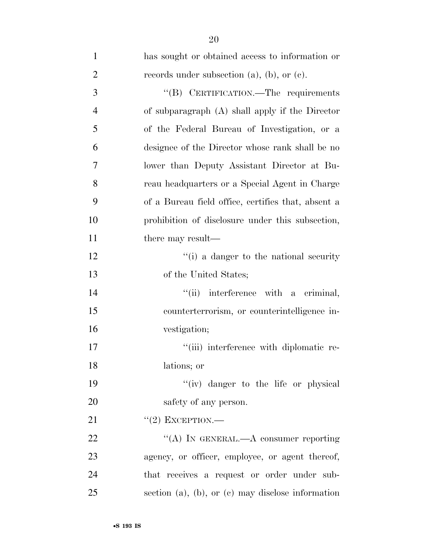| $\mathbf{1}$   | has sought or obtained access to information or           |
|----------------|-----------------------------------------------------------|
| $\overline{2}$ | records under subsection $(a)$ , $(b)$ , or $(c)$ .       |
| 3              | "(B) CERTIFICATION.—The requirements                      |
| $\overline{4}$ | of subparagraph (A) shall apply if the Director           |
| 5              | of the Federal Bureau of Investigation, or a              |
| 6              | designee of the Director whose rank shall be no           |
| 7              | lower than Deputy Assistant Director at Bu-               |
| 8              | reau headquarters or a Special Agent in Charge            |
| 9              | of a Bureau field office, certifies that, absent a        |
| 10             | prohibition of disclosure under this subsection,          |
| 11             | there may result—                                         |
| 12             | "(i) a danger to the national security                    |
| 13             | of the United States;                                     |
| 14             | interference with a criminal,<br>``(ii)                   |
| 15             | counterterrorism, or counterintelligence in-              |
| 16             | vestigation;                                              |
| 17             | "(iii) interference with diplomatic re-                   |
| 18             | lations; or                                               |
| 19             | "(iv) danger to the life or physical                      |
| 20             | safety of any person.                                     |
| 21             | $``(2)$ EXCEPTION.—                                       |
| 22             | "(A) IN GENERAL.—A consumer reporting                     |
| 23             | agency, or officer, employee, or agent thereof,           |
| 24             | that receives a request or order under sub-               |
| 25             | section $(a)$ , $(b)$ , or $(c)$ may disclose information |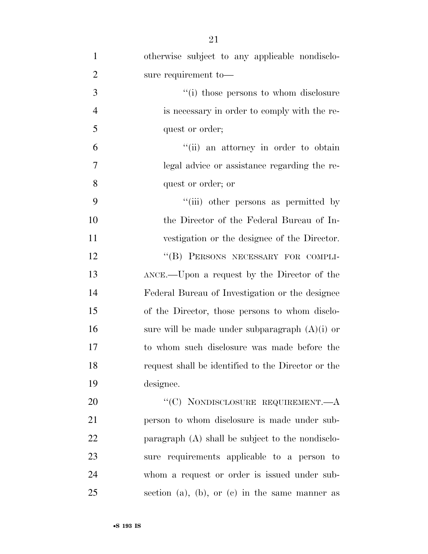| $\mathbf{1}$   | otherwise subject to any applicable nondisclo-     |
|----------------|----------------------------------------------------|
| $\overline{2}$ | sure requirement to-                               |
| 3              | "(i) those persons to whom disclosure              |
| $\overline{4}$ | is necessary in order to comply with the re-       |
| 5              | quest or order;                                    |
| 6              | "(ii) an attorney in order to obtain               |
| $\tau$         | legal advice or assistance regarding the re-       |
| 8              | quest or order; or                                 |
| 9              | "(iii) other persons as permitted by               |
| 10             | the Director of the Federal Bureau of In-          |
| 11             | vestigation or the designee of the Director.       |
| 12             | "(B) PERSONS NECESSARY FOR COMPLI-                 |
| 13             | ANCE.—Upon a request by the Director of the        |
| 14             | Federal Bureau of Investigation or the designee    |
| 15             | of the Director, those persons to whom disclo-     |
| 16             | sure will be made under subparagraph $(A)(i)$ or   |
| 17             | to whom such disclosure was made before the        |
| 18             | request shall be identified to the Director or the |
| 19             | designee.                                          |
| 20             | "(C) NONDISCLOSURE REQUIREMENT.— $A$               |
| 21             | person to whom disclosure is made under sub-       |
| 22             | paragraph (A) shall be subject to the nondisclo-   |
| 23             | sure requirements applicable to a person to        |
| 24             | whom a request or order is issued under sub-       |
| 25             | section (a), (b), or (c) in the same manner as     |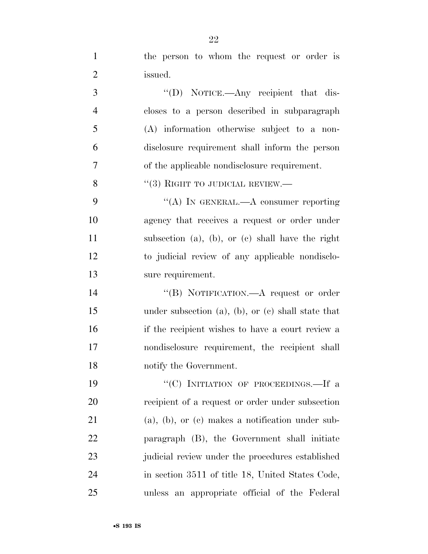| $\mathbf{1}$   | the person to whom the request or order is                 |
|----------------|------------------------------------------------------------|
| $\overline{2}$ | issued.                                                    |
| 3              | "(D) NOTICE.—Any recipient that dis-                       |
| $\overline{4}$ | closes to a person described in subparagraph               |
| 5              | (A) information otherwise subject to a non-                |
| 6              | disclosure requirement shall inform the person             |
| 7              | of the applicable nondisclosure requirement.               |
| 8              | $``(3)$ RIGHT TO JUDICIAL REVIEW.—                         |
| 9              | "(A) IN GENERAL.—A consumer reporting                      |
| 10             | agency that receives a request or order under              |
| 11             | subsection (a), (b), or (c) shall have the right           |
| 12             | to judicial review of any applicable nondisclo-            |
| 13             | sure requirement.                                          |
| 14             | "(B) NOTIFICATION.—A request or order                      |
| 15             | under subsection $(a)$ , $(b)$ , or $(c)$ shall state that |
| 16             | if the recipient wishes to have a court review a           |
| 17             | nondisclosure requirement, the recipient shall             |
| 18             | notify the Government.                                     |
| 19             | "(C) INITIATION OF PROCEEDINGS.—If a                       |
| 20             | recipient of a request or order under subsection           |
| 21             | $(a)$ , $(b)$ , or $(c)$ makes a notification under sub-   |
| 22             | paragraph (B), the Government shall initiate               |
| 23             | judicial review under the procedures established           |
| 24             | in section 3511 of title 18, United States Code,           |
| 25             | unless an appropriate official of the Federal              |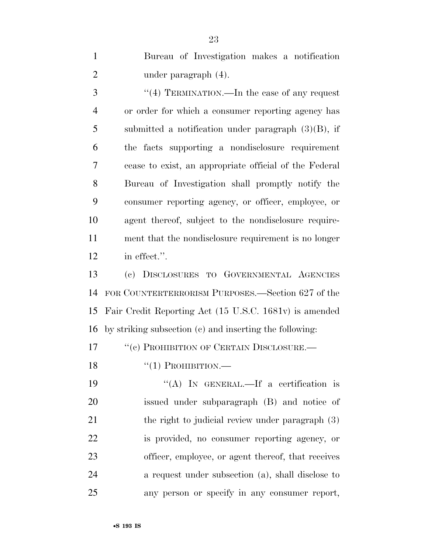Bureau of Investigation makes a notification 2 under paragraph  $(4)$ .

3 "(4) TERMINATION.—In the case of any request or order for which a consumer reporting agency has submitted a notification under paragraph (3)(B), if the facts supporting a nondisclosure requirement cease to exist, an appropriate official of the Federal Bureau of Investigation shall promptly notify the consumer reporting agency, or officer, employee, or agent thereof, subject to the nondisclosure require- ment that the nondisclosure requirement is no longer in effect.''.

 (c) DISCLOSURES TO GOVERNMENTAL AGENCIES FOR COUNTERTERRORISM PURPOSES.—Section 627 of the Fair Credit Reporting Act (15 U.S.C. 1681v) is amended by striking subsection (c) and inserting the following:

17 <sup>''</sup>(c) PROHIBITION OF CERTAIN DISCLOSURE.

18  $\frac{1}{2}$   $\frac{1}{2}$  PROHIBITION.

 ''(A) IN GENERAL.—If a certification is issued under subparagraph (B) and notice of 21 the right to judicial review under paragraph (3) is provided, no consumer reporting agency, or officer, employee, or agent thereof, that receives a request under subsection (a), shall disclose to any person or specify in any consumer report,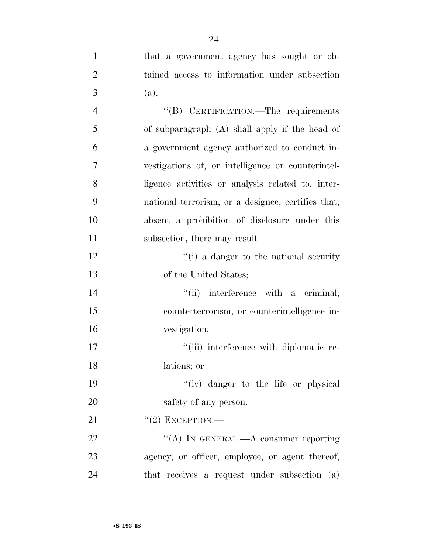| $\mathbf{1}$   | that a government agency has sought or ob-         |
|----------------|----------------------------------------------------|
| $\overline{2}$ | tained access to information under subsection      |
| 3              | (a).                                               |
| $\overline{4}$ | "(B) CERTIFICATION.—The requirements               |
| 5              | of subparagraph (A) shall apply if the head of     |
| 6              | a government agency authorized to conduct in-      |
| $\overline{7}$ | vestigations of, or intelligence or counterintel-  |
| 8              | ligence activities or analysis related to, inter-  |
| 9              | national terrorism, or a designee, certifies that, |
| 10             | absent a prohibition of disclosure under this      |
| 11             | subsection, there may result—                      |
| 12             | "(i) a danger to the national security             |
| 13             | of the United States;                              |
| 14             | "(ii) interference with a criminal,                |
| 15             | counterterrorism, or counterintelligence in-       |
| 16             | vestigation;                                       |
| 17             | "(iii) interference with diplomatic re-            |
| 18             | lations; or                                        |
| 19             | "(iv) danger to the life or physical               |
| 20             | safety of any person.                              |
| 21             | $"(2)$ EXCEPTION.—                                 |
| 22             | "(A) IN GENERAL.—A consumer reporting              |
| 23             | agency, or officer, employee, or agent thereof,    |
| 24             | that receives a request under subsection (a)       |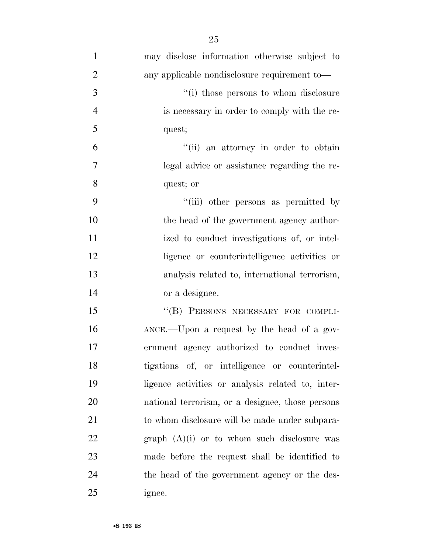| $\mathbf{1}$   | may disclose information otherwise subject to |
|----------------|-----------------------------------------------|
| $\overline{2}$ | any applicable nondisclosure requirement to—  |
| 3              | "(i) those persons to whom disclosure         |
| $\overline{4}$ | is necessary in order to comply with the re-  |
| 5              | quest;                                        |
| 6              | "(ii) an attorney in order to obtain          |
| 7              | legal advice or assistance regarding the re-  |
| 8              | quest; or                                     |
| 9              | "(iii) other persons as permitted by          |
|                |                                               |

 the head of the government agency author-11 ized to conduct investigations of, or intel- ligence or counterintelligence activities or analysis related to, international terrorism, or a designee.

15 "(B) PERSONS NECESSARY FOR COMPLI- ANCE.—Upon a request by the head of a gov- ernment agency authorized to conduct inves- tigations of, or intelligence or counterintel- ligence activities or analysis related to, inter- national terrorism, or a designee, those persons to whom disclosure will be made under subpara- graph (A)(i) or to whom such disclosure was made before the request shall be identified to the head of the government agency or the des-ignee.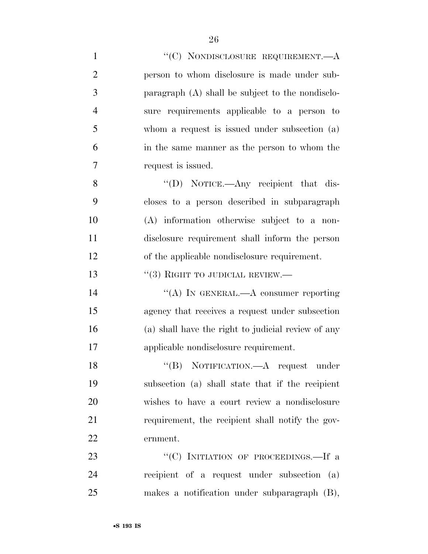| $\mathbf{1}$   | "(C) NONDISCLOSURE REQUIREMENT.—A                  |
|----------------|----------------------------------------------------|
| $\overline{2}$ | person to whom disclosure is made under sub-       |
| 3              | paragraph (A) shall be subject to the nondisclo-   |
| $\overline{4}$ | sure requirements applicable to a person to        |
| 5              | whom a request is issued under subsection (a)      |
| 6              | in the same manner as the person to whom the       |
| 7              | request is issued.                                 |
| 8              | "(D) NOTICE.—Any recipient that dis-               |
| 9              | closes to a person described in subparagraph       |
| 10             | (A) information otherwise subject to a non-        |
| 11             | disclosure requirement shall inform the person     |
| 12             | of the applicable nondisclosure requirement.       |
| 13             | $``(3)$ RIGHT TO JUDICIAL REVIEW.—                 |
| 14             | "(A) IN GENERAL.—A consumer reporting              |
| 15             | agency that receives a request under subsection    |
| 16             | (a) shall have the right to judicial review of any |
| 17             | applicable nondisclosure requirement.              |
| 18             | "(B) NOTIFICATION.—A request under                 |
| 19             | subsection (a) shall state that if the recipient   |
| 20             | wishes to have a court review a nondisclosure      |
| 21             | requirement, the recipient shall notify the gov-   |
| 22             | ernment.                                           |
| 23             | "(C) INITIATION OF PROCEEDINGS.—If a               |
| 24             | recipient of a request under subsection (a)        |
| 25             | makes a notification under subparagraph (B),       |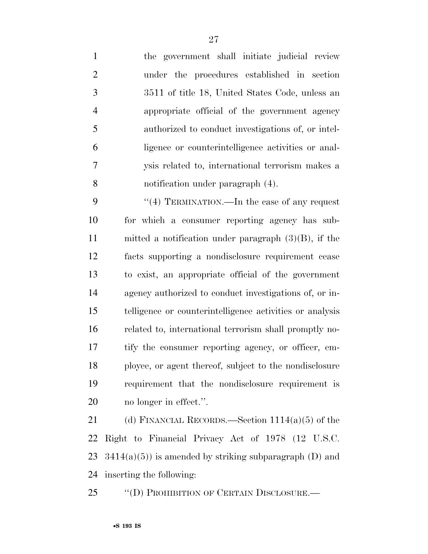the government shall initiate judicial review under the procedures established in section 3511 of title 18, United States Code, unless an appropriate official of the government agency authorized to conduct investigations of, or intel- ligence or counterintelligence activities or anal- ysis related to, international terrorism makes a notification under paragraph (4).

9 "(4) TERMINATION.—In the case of any request for which a consumer reporting agency has sub- mitted a notification under paragraph (3)(B), if the facts supporting a nondisclosure requirement cease to exist, an appropriate official of the government agency authorized to conduct investigations of, or in- telligence or counterintelligence activities or analysis related to, international terrorism shall promptly no- tify the consumer reporting agency, or officer, em- ployee, or agent thereof, subject to the nondisclosure requirement that the nondisclosure requirement is no longer in effect.''.

21 (d) FINANCIAL RECORDS.—Section 1114(a)(5) of the Right to Financial Privacy Act of 1978 (12 U.S.C.  $3414(a)(5)$  is amended by striking subparagraph (D) and inserting the following:

''(D) PROHIBITION OF CERTAIN DISCLOSURE.—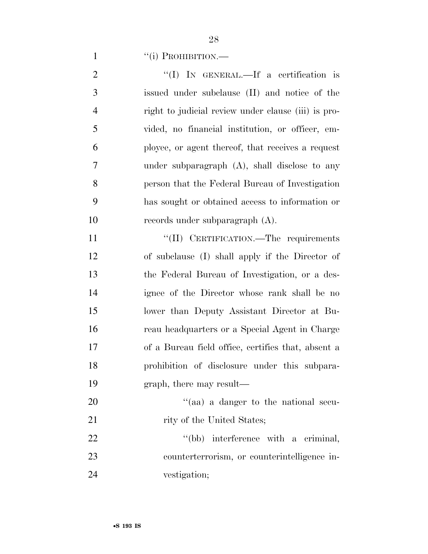1 "(i) PROHIBITION.—

| $\overline{2}$ | "(I) IN GENERAL.—If a certification is              |
|----------------|-----------------------------------------------------|
| 3              | issued under subclause (II) and notice of the       |
| $\overline{4}$ | right to judicial review under clause (iii) is pro- |
| 5              | vided, no financial institution, or officer, em-    |
| 6              | ployee, or agent thereof, that receives a request   |
| $\tau$         | under subparagraph (A), shall disclose to any       |
| 8              | person that the Federal Bureau of Investigation     |
| 9              | has sought or obtained access to information or     |
| 10             | records under subparagraph (A).                     |
| 11             | "(II) CERTIFICATION.—The requirements               |
| 12             | of subclause (I) shall apply if the Director of     |
| 13             | the Federal Bureau of Investigation, or a des-      |
| 14             | ignee of the Director whose rank shall be no        |
| 15             | lower than Deputy Assistant Director at Bu-         |
| 16             | reau headquarters or a Special Agent in Charge      |
| 17             | of a Bureau field office, certifies that, absent a  |
| 18             | prohibition of disclosure under this subpara-       |

- graph, there may result—
- 20  $(aa)$  a danger to the national secu-21 rity of the United States;

22 ''(bb) interference with a criminal, counterterrorism, or counterintelligence in-vestigation;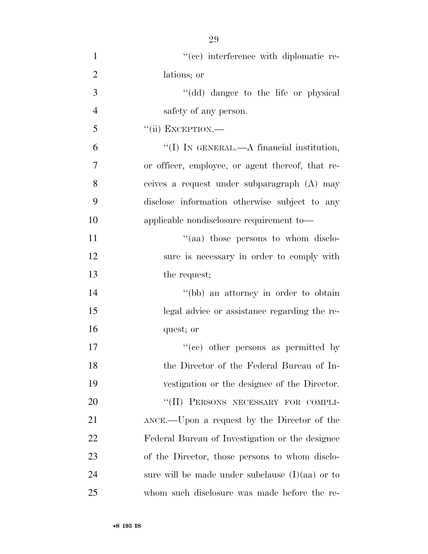| $\mathbf{1}$   | "(cc) interference with diplomatic re-            |
|----------------|---------------------------------------------------|
| $\overline{2}$ | lations; or                                       |
| 3              | "(dd) danger to the life or physical              |
| $\overline{4}$ | safety of any person.                             |
| 5              | $``$ (ii) EXCEPTION.—                             |
| 6              | "(I) IN GENERAL.—A financial institution,         |
| 7              | or officer, employee, or agent thereof, that re-  |
| 8              | ceives a request under subparagraph (A) may       |
| 9              | disclose information otherwise subject to any     |
| 10             | applicable nondisclosure requirement to-          |
| 11             | "(aa) those persons to whom disclo-               |
| 12             | sure is necessary in order to comply with         |
| 13             | the request;                                      |
| 14             | "(bb) an attorney in order to obtain              |
| 15             | legal advice or assistance regarding the re-      |
| 16             | quest; or                                         |
| 17             | "(cc) other persons as permitted by               |
| 18             | the Director of the Federal Bureau of In-         |
| 19             | vestigation or the designee of the Director.      |
| 20             | "(II) PERSONS NECESSARY FOR COMPLI-               |
| 21             | ANCE.—Upon a request by the Director of the       |
| 22             | Federal Bureau of Investigation or the designee   |
| 23             | of the Director, those persons to whom disclo-    |
| 24             | sure will be made under subclause $(I)(aa)$ or to |
| 25             | whom such disclosure was made before the re-      |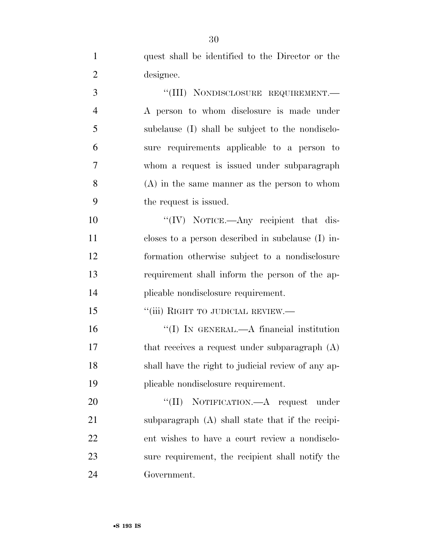quest shall be identified to the Director or the designee. 3 "(III) NONDISCLOSURE REQUIREMENT.— A person to whom disclosure is made under subclause (I) shall be subject to the nondisclo- sure requirements applicable to a person to whom a request is issued under subparagraph (A) in the same manner as the person to whom the request is issued.  $\text{``(IV)}$  NOTICE.—Any recipient that dis-

 closes to a person described in subclause (I) in- formation otherwise subject to a nondisclosure requirement shall inform the person of the ap-plicable nondisclosure requirement.

15 "(iii) RIGHT TO JUDICIAL REVIEW.—

 ''(I) IN GENERAL.—A financial institution 17 that receives a request under subparagraph (A) shall have the right to judicial review of any ap-plicable nondisclosure requirement.

20 "(II) NOTIFICATION.—A request under subparagraph (A) shall state that if the recipi- ent wishes to have a court review a nondisclo- sure requirement, the recipient shall notify the Government.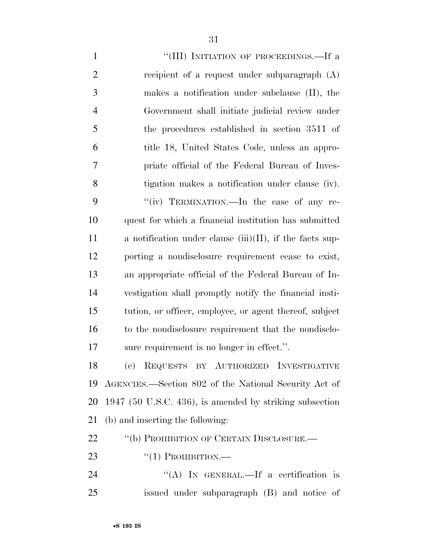1 ""(III) INITIATION OF PROCEEDINGS.—If a recipient of a request under subparagraph (A) makes a notification under subclause (II), the Government shall initiate judicial review under the procedures established in section 3511 of title 18, United States Code, unless an appro- priate official of the Federal Bureau of Inves- tigation makes a notification under clause (iv). 9 "(iv) TERMINATION.—In the case of any re- quest for which a financial institution has submitted 11 a notification under clause  $(iii)(II)$ , if the facts sup- porting a nondisclosure requirement cease to exist, an appropriate official of the Federal Bureau of In- vestigation shall promptly notify the financial insti- tution, or officer, employee, or agent thereof, subject to the nondisclosure requirement that the nondisclo-sure requirement is no longer in effect.''.

 (e) REQUESTS BY AUTHORIZED INVESTIGATIVE AGENCIES.—Section 802 of the National Security Act of 1947 (50 U.S.C. 436), is amended by striking subsection (b) and inserting the following:

#### 22 "(b) PROHIBITION OF CERTAIN DISCLOSURE.—

- 23  $\frac{((1) \text{ PROHIBITION}}{((1) \text{ PROHIBITION}}$
- 24 "(A) IN GENERAL.—If a certification is issued under subparagraph (B) and notice of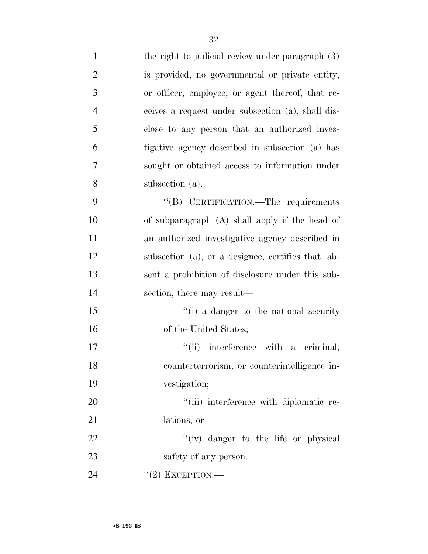| $\mathbf{1}$   | the right to judicial review under paragraph (3)   |
|----------------|----------------------------------------------------|
| $\overline{2}$ | is provided, no governmental or private entity,    |
| 3              | or officer, employee, or agent thereof, that re-   |
| $\overline{4}$ | ceives a request under subsection (a), shall dis-  |
| 5              | close to any person that an authorized inves-      |
| 6              | tigative agency described in subsection (a) has    |
| 7              | sought or obtained access to information under     |
| 8              | subsection (a).                                    |
| 9              | "(B) CERTIFICATION.—The requirements               |
| 10             | of subparagraph (A) shall apply if the head of     |
| 11             | an authorized investigative agency described in    |
| 12             | subsection (a), or a designee, certifies that, ab- |
| 13             | sent a prohibition of disclosure under this sub-   |
| 14             | section, there may result—                         |
| 15             | "(i) a danger to the national security             |
| 16             | of the United States;                              |
| 17             | "(ii) interference with a criminal,                |
| 18             | counterterrorism, or counterintelligence in-       |
| 19             | vestigation;                                       |
| 20             | "(iii) interference with diplomatic re-            |
| 21             | lations; or                                        |
| 22             | "(iv) danger to the life or physical               |
| 23             | safety of any person.                              |
| 24             | $``(2)$ EXCEPTION.—                                |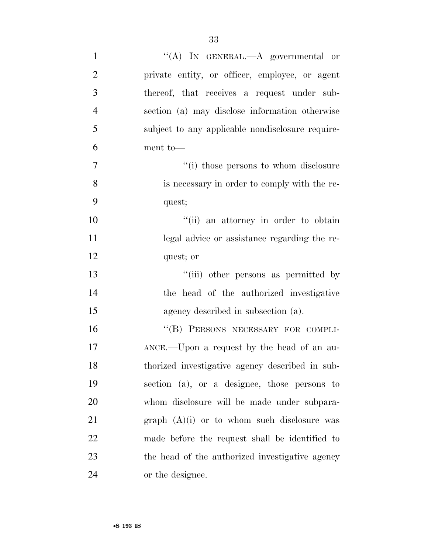| $\mathbf{1}$   | "(A) IN GENERAL.—A governmental or               |
|----------------|--------------------------------------------------|
| $\overline{2}$ | private entity, or officer, employee, or agent   |
| 3              | thereof, that receives a request under sub-      |
| $\overline{4}$ | section (a) may disclose information otherwise   |
| 5              | subject to any applicable nondisclosure require- |
| 6              | ment to-                                         |
| $\overline{7}$ | "(i) those persons to whom disclosure            |
| 8              | is necessary in order to comply with the re-     |
| 9              | quest;                                           |
| 10             | "(ii) an attorney in order to obtain             |
| 11             | legal advice or assistance regarding the re-     |
| 12             | quest; or                                        |
| 13             | "(iii) other persons as permitted by             |
| 14             | the head of the authorized investigative         |
| 15             | agency described in subsection (a).              |
| 16             | "(B) PERSONS NECESSARY FOR COMPLI-               |
| 17             | ANCE.—Upon a request by the head of an au-       |
| 18             | thorized investigative agency described in sub-  |
| 19             | section (a), or a designee, those persons to     |
| 20             | whom disclosure will be made under subpara-      |
| 21             | graph $(A)(i)$ or to whom such disclosure was    |
| 22             | made before the request shall be identified to   |
| 23             | the head of the authorized investigative agency  |
| 24             | or the designee.                                 |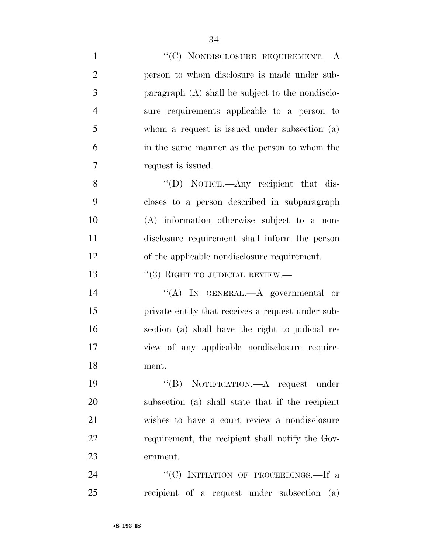| $\mathbf{1}$   | "(C) NONDISCLOSURE REQUIREMENT.—A                 |
|----------------|---------------------------------------------------|
| $\overline{2}$ | person to whom disclosure is made under sub-      |
| 3              | paragraph (A) shall be subject to the nondisclo-  |
| $\overline{4}$ | sure requirements applicable to a person to       |
| 5              | whom a request is issued under subsection (a)     |
| 6              | in the same manner as the person to whom the      |
| 7              | request is issued.                                |
| 8              | "(D) NOTICE.—Any recipient that dis-              |
| 9              | closes to a person described in subparagraph      |
| 10             | (A) information otherwise subject to a non-       |
| 11             | disclosure requirement shall inform the person    |
| 12             | of the applicable nondisclosure requirement.      |
| 13             | $``(3)$ RIGHT TO JUDICIAL REVIEW.—                |
| 14             | "(A) IN GENERAL.—A governmental or                |
| 15             | private entity that receives a request under sub- |
| 16             | section (a) shall have the right to judicial re-  |
| 17             | view of any applicable nondisclosure require-     |
| 18             | ment.                                             |
| 19             | "(B) NOTIFICATION.—A request under                |
| 20             | subsection (a) shall state that if the recipient  |
| 21             | wishes to have a court review a nondisclosure     |
| 22             | requirement, the recipient shall notify the Gov-  |
| 23             | ernment.                                          |
| 24             | "(C) INITIATION OF PROCEEDINGS.—If a              |
| 25             | recipient of a request under subsection (a)       |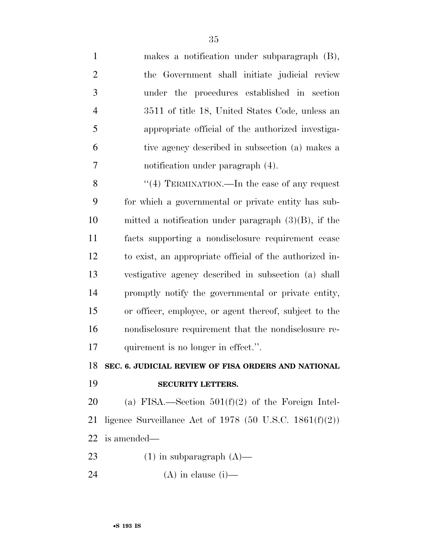| $\mathbf{1}$   | makes a notification under subparagraph $(B)$ ,     |
|----------------|-----------------------------------------------------|
| 2              | the Government shall initiate judicial review       |
| 3              | under the procedures established in section         |
| $\overline{4}$ | 3511 of title 18, United States Code, unless an     |
| 5              | appropriate official of the authorized investiga-   |
| 6              | tive agency described in subsection (a) makes a     |
| $\overline{7}$ | notification under paragraph (4).                   |
| 8              | "(4) TERMINATION.—In the case of any request        |
| 9              | for which a governmental or private entity has sub- |
|                |                                                     |

 mitted a notification under paragraph (3)(B), if the facts supporting a nondisclosure requirement cease to exist, an appropriate official of the authorized in- vestigative agency described in subsection (a) shall promptly notify the governmental or private entity, or officer, employee, or agent thereof, subject to the nondisclosure requirement that the nondisclosure re-17 quirement is no longer in effect.".

**SEC. 6. JUDICIAL REVIEW OF FISA ORDERS AND NATIONAL** 

**SECURITY LETTERS.** 

20 (a) FISA.—Section  $501(f)(2)$  of the Foreign Intel- ligence Surveillance Act of 1978 (50 U.S.C. 1861(f)(2)) is amended—

- 23 (1) in subparagraph  $(A)$ —
- 24 (A) in clause (i)—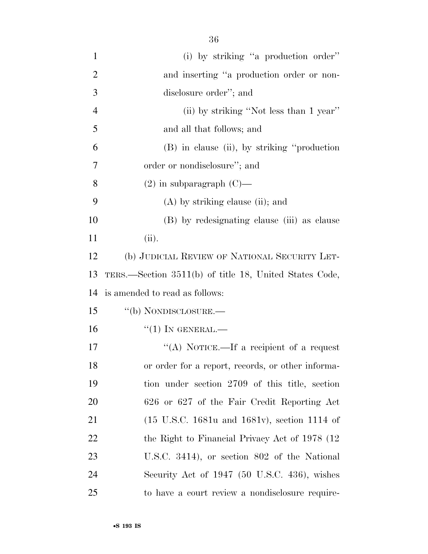| $\mathbf{1}$   | (i) by striking "a production order"                              |
|----------------|-------------------------------------------------------------------|
| $\overline{2}$ | and inserting "a production order or non-                         |
| 3              | disclosure order"; and                                            |
| $\overline{4}$ | (ii) by striking "Not less than 1 year"                           |
| 5              | and all that follows; and                                         |
| 6              | (B) in clause (ii), by striking "production"                      |
| 7              | order or nondisclosure"; and                                      |
| 8              | $(2)$ in subparagraph $(C)$ —                                     |
| 9              | $(A)$ by striking clause (ii); and                                |
| 10             | (B) by redesignating clause (iii) as clause                       |
| 11             | (ii).                                                             |
| 12             | (b) JUDICIAL REVIEW OF NATIONAL SECURITY LET-                     |
| 13             | TERS.—Section 3511(b) of title 18, United States Code,            |
| 14             | is amended to read as follows:                                    |
| 15             | "(b) NONDISCLOSURE.—                                              |
| 16             | $``(1)$ IN GENERAL.—                                              |
| 17             | "(A) NOTICE.—If a recipient of a request                          |
| 18             | or order for a report, records, or other informa-                 |
| 19             | tion under section 2709 of this title, section                    |
| 20             | 626 or 627 of the Fair Credit Reporting Act                       |
| 21             | $(15 \text{ U.S.C. } 1681u \text{ and } 1681v)$ , section 1114 of |

22 the Right to Financial Privacy Act of 1978 (12

U.S.C. 3414), or section 802 of the National

Security Act of 1947 (50 U.S.C. 436), wishes

to have a court review a nondisclosure require-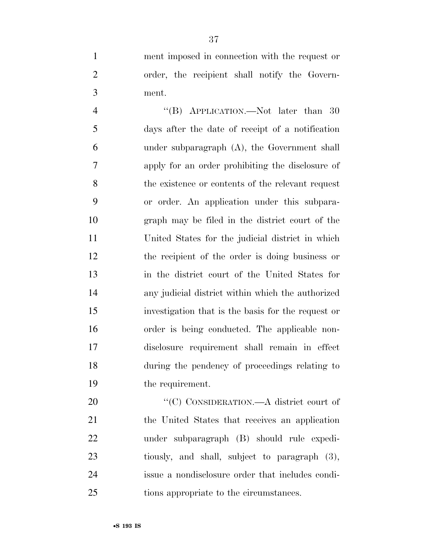ment imposed in connection with the request or order, the recipient shall notify the Govern-ment.

4 "(B) APPLICATION.—Not later than 30 days after the date of receipt of a notification under subparagraph (A), the Government shall apply for an order prohibiting the disclosure of the existence or contents of the relevant request or order. An application under this subpara- graph may be filed in the district court of the United States for the judicial district in which the recipient of the order is doing business or in the district court of the United States for any judicial district within which the authorized investigation that is the basis for the request or order is being conducted. The applicable non- disclosure requirement shall remain in effect during the pendency of proceedings relating to the requirement.

20 "'(C) CONSIDERATION.—A district court of the United States that receives an application under subparagraph (B) should rule expedi- tiously, and shall, subject to paragraph (3), issue a nondisclosure order that includes condi-tions appropriate to the circumstances.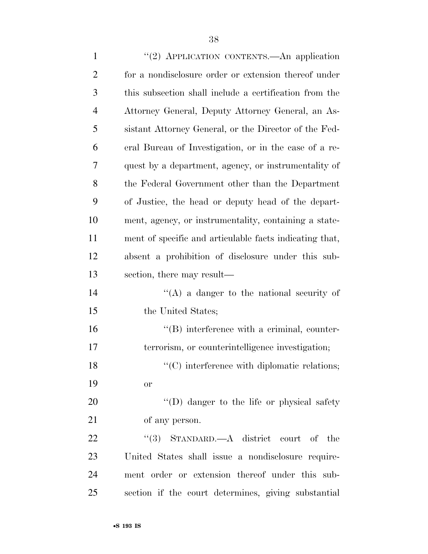| $\mathbf{1}$   | "(2) APPLICATION CONTENTS. An application               |
|----------------|---------------------------------------------------------|
| $\overline{2}$ | for a nondisclosure order or extension thereof under    |
| 3              | this subsection shall include a certification from the  |
| $\overline{4}$ | Attorney General, Deputy Attorney General, an As-       |
| 5              | sistant Attorney General, or the Director of the Fed-   |
| 6              | eral Bureau of Investigation, or in the case of a re-   |
| 7              | quest by a department, agency, or instrumentality of    |
| 8              | the Federal Government other than the Department        |
| 9              | of Justice, the head or deputy head of the depart-      |
| 10             | ment, agency, or instrumentality, containing a state-   |
| 11             | ment of specific and articulable facts indicating that, |
| 12             | absent a prohibition of disclosure under this sub-      |
| 13             | section, there may result—                              |
| 14             | $\lq\lq$ a danger to the national security of           |
| 15             | the United States;                                      |
| 16             | $\lq\lq$ ) interference with a criminal, counter-       |
| 17             | terrorism, or counterintelligence investigation;        |
| 18             | $\lq\lq$ interference with diplomatic relations;        |
| 19             | <b>or</b>                                               |
| 20             | $\lq\lq$ (D) danger to the life or physical safety      |
|                |                                                         |

of any person.

22 ''(3) STANDARD.—A district court of the United States shall issue a nondisclosure require- ment order or extension thereof under this sub-section if the court determines, giving substantial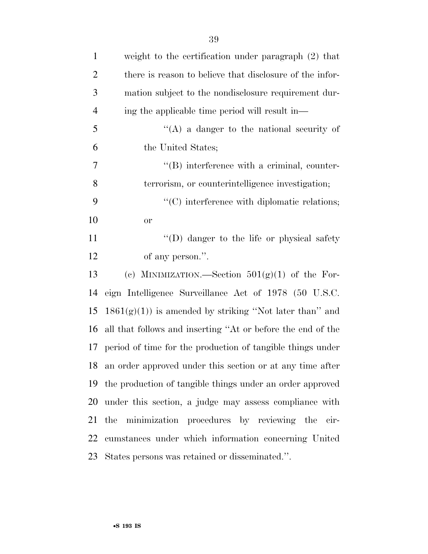| $\mathbf{1}$   | weight to the certification under paragraph $(2)$ that        |
|----------------|---------------------------------------------------------------|
| $\overline{2}$ | there is reason to believe that disclosure of the infor-      |
| $\mathfrak{Z}$ | mation subject to the nondisclosure requirement dur-          |
| $\overline{4}$ | ing the applicable time period will result in—                |
| 5              | "(A) a danger to the national security of                     |
| 6              | the United States;                                            |
| 7              | $\lq\lq (B)$ interference with a criminal, counter-           |
| $8\,$          | terrorism, or counterintelligence investigation;              |
| 9              | "(C) interference with diplomatic relations;                  |
| 10             | <b>or</b>                                                     |
| 11             | "(D) danger to the life or physical safety                    |
| 12             | of any person.".                                              |
| 13             | (c) MINIMIZATION.—Section $501(g)(1)$ of the For-             |
| 14             | eign Intelligence Surveillance Act of 1978 (50 U.S.C.         |
| 15             | $1861(g)(1)$ ) is amended by striking "Not later than" and    |
| 16             | all that follows and inserting "At or before the end of the   |
|                | 17 period of time for the production of tangible things under |
|                | 18 an order approved under this section or at any time after  |
|                | 19 the production of tangible things under an order approved  |
| 20             | under this section, a judge may assess compliance with        |
| 21             | the minimization procedures by reviewing the cir-             |
| 22             | cumstances under which information concerning United          |
|                | 23 States persons was retained or disseminated.".             |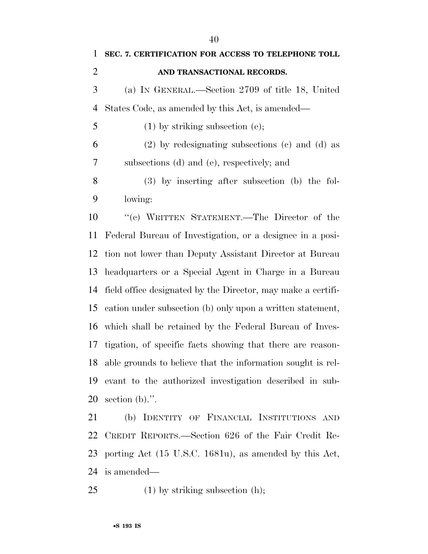| 1              | SEC. 7. CERTIFICATION FOR ACCESS TO TELEPHONE TOLL             |
|----------------|----------------------------------------------------------------|
| $\overline{2}$ | AND TRANSACTIONAL RECORDS.                                     |
| 3              | (a) IN GENERAL.—Section 2709 of title 18, United               |
| 4              | States Code, as amended by this Act, is amended—               |
| 5              | $(1)$ by striking subsection (e);                              |
| 6              | $(2)$ by redesignating subsections $(e)$ and $(d)$ as          |
| 7              | subsections (d) and (e), respectively; and                     |
| 8              | $(3)$ by inserting after subsection (b) the fol-               |
| 9              | lowing:                                                        |
| 10             | "(c) WRITTEN STATEMENT.—The Director of the                    |
| 11             | Federal Bureau of Investigation, or a designee in a posi-      |
| 12             | tion not lower than Deputy Assistant Director at Bureau        |
| 13             | headquarters or a Special Agent in Charge in a Bureau          |
| 14             | field office designated by the Director, may make a certifi-   |
| 15             | cation under subsection (b) only upon a written statement,     |
| 16             | which shall be retained by the Federal Bureau of Inves-        |
| 17             | tigation, of specific facts showing that there are reason-     |
|                | 18 able grounds to believe that the information sought is rel- |
| 19             | evant to the authorized investigation described in sub-        |
| 20             | section $(b)$ .".                                              |
| 21             | (b) IDENTITY OF FINANCIAL INSTITUTIONS AND                     |
|                | 22 CREDIT REPORTS.—Section 626 of the Fair Credit Re-          |
|                | 23 porting Act (15 U.S.C. 1681u), as amended by this Act,      |
|                | 24 is amended—                                                 |

25 (1) by striking subsection (h);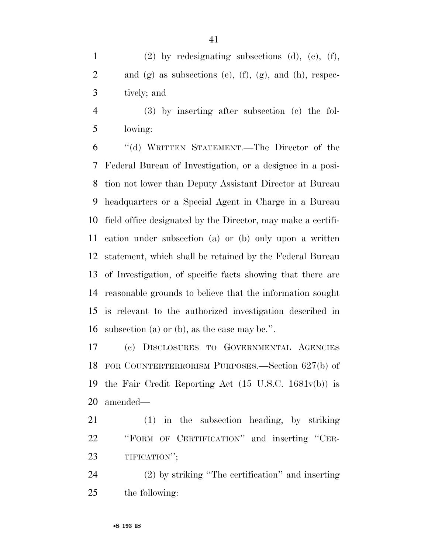(2) by redesignating subsections (d), (e), (f), 2 and  $(g)$  as subsections  $(e)$ ,  $(f)$ ,  $(g)$ , and  $(h)$ , respec-tively; and

 (3) by inserting after subsection (c) the fol-lowing:

 ''(d) WRITTEN STATEMENT.—The Director of the Federal Bureau of Investigation, or a designee in a posi- tion not lower than Deputy Assistant Director at Bureau headquarters or a Special Agent in Charge in a Bureau field office designated by the Director, may make a certifi- cation under subsection (a) or (b) only upon a written statement, which shall be retained by the Federal Bureau of Investigation, of specific facts showing that there are reasonable grounds to believe that the information sought is relevant to the authorized investigation described in subsection (a) or (b), as the case may be.''.

 (c) DISCLOSURES TO GOVERNMENTAL AGENCIES FOR COUNTERTERRORISM PURPOSES.—Section 627(b) of the Fair Credit Reporting Act (15 U.S.C. 1681v(b)) is amended—

 (1) in the subsection heading, by striking ''FORM OF CERTIFICATION'' and inserting ''CER-TIFICATION'';

 (2) by striking ''The certification'' and inserting the following: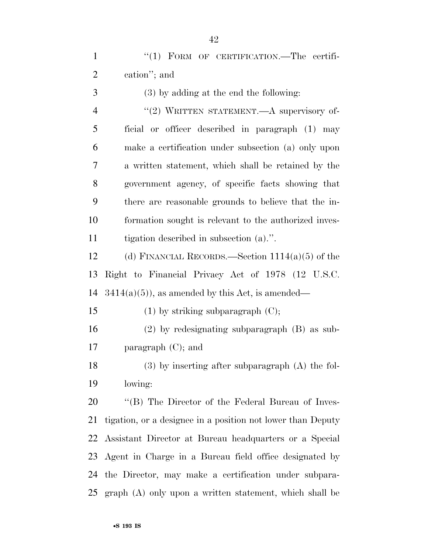1 "(1) FORM OF CERTIFICATION.—The certifi-cation''; and

 (3) by adding at the end the following: 4 "(2) WRITTEN STATEMENT.—A supervisory of- ficial or officer described in paragraph (1) may make a certification under subsection (a) only upon a written statement, which shall be retained by the government agency, of specific facts showing that there are reasonable grounds to believe that the in- formation sought is relevant to the authorized inves-tigation described in subsection (a).''.

 (d) FINANCIAL RECORDS.—Section 1114(a)(5) of the Right to Financial Privacy Act of 1978 (12 U.S.C. 14  $3414(a)(5)$ , as amended by this Act, is amended—

 (2) by redesignating subparagraph (B) as sub-paragraph (C); and

15 (1) by striking subparagraph  $(C)$ ;

 (3) by inserting after subparagraph (A) the fol-lowing:

20 "'(B) The Director of the Federal Bureau of Inves- tigation, or a designee in a position not lower than Deputy Assistant Director at Bureau headquarters or a Special Agent in Charge in a Bureau field office designated by the Director, may make a certification under subpara-graph (A) only upon a written statement, which shall be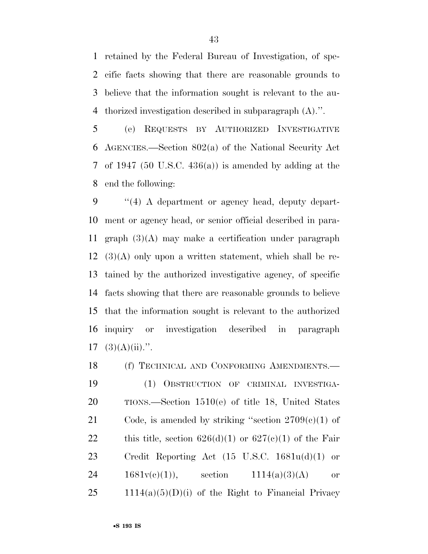retained by the Federal Bureau of Investigation, of spe- cific facts showing that there are reasonable grounds to believe that the information sought is relevant to the au-thorized investigation described in subparagraph (A).''.

 (e) REQUESTS BY AUTHORIZED INVESTIGATIVE AGENCIES.—Section 802(a) of the National Security Act of 1947 (50 U.S.C. 436(a)) is amended by adding at the end the following:

 ''(4) A department or agency head, deputy depart- ment or agency head, or senior official described in para- graph (3)(A) may make a certification under paragraph  $12 \quad (3)(A)$  only upon a written statement, which shall be re- tained by the authorized investigative agency, of specific facts showing that there are reasonable grounds to believe that the information sought is relevant to the authorized inquiry or investigation described in paragraph  $17 \quad (3)(A)(ii)$ .".

18 (f) TECHNICAL AND CONFORMING AMENDMENTS.— (1) OBSTRUCTION OF CRIMINAL INVESTIGA- TIONS.—Section 1510(e) of title 18, United States 21 Code, is amended by striking "section  $2709(e)(1)$  of 22 this title, section  $626(d)(1)$  or  $627(e)(1)$  of the Fair Credit Reporting Act (15 U.S.C. 1681u(d)(1) or 24 1681 $v(c)(1)$ , section 1114(a)(3)(A) or 1114(a)(5)(D)(i) of the Right to Financial Privacy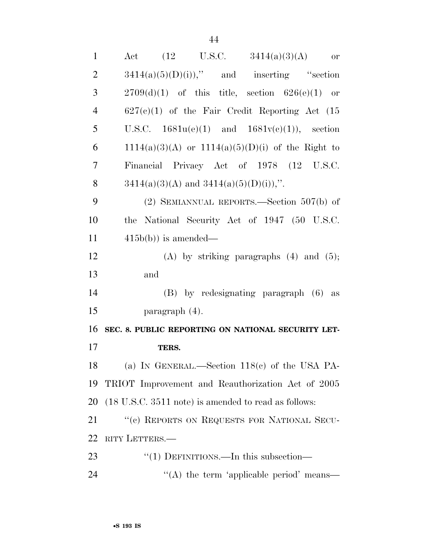| $\mathbf{1}$   | <b>or</b>                                             |
|----------------|-------------------------------------------------------|
| $\overline{2}$ | $3414(a)(5)(D)(i)$ ," and inserting "section          |
| 3              | $2709(d)(1)$ of this title, section $626(e)(1)$ or    |
| $\overline{4}$ | $627(c)(1)$ of the Fair Credit Reporting Act (15      |
| 5              | U.S.C. $1681u(e)(1)$ and $1681v(e)(1)$ , section      |
| 6              | $1114(a)(3)(A)$ or $1114(a)(5)(D)(i)$ of the Right to |
| 7              | Financial Privacy Act of 1978 (12 U.S.C.              |
| 8              | $3414(a)(3)(A)$ and $3414(a)(5)(D)(i)$ ,".            |
| 9              | (2) SEMIANNUAL REPORTS.—Section $507(b)$ of           |
| 10             | the National Security Act of 1947 (50 U.S.C.          |
| 11             | $415b(b)$ is amended—                                 |
| 12             | $(A)$ by striking paragraphs $(4)$ and $(5)$ ;        |
| 13             | and                                                   |
| 14             | $(B)$ by redesignating paragraph $(6)$ as             |
| 15             | paragraph $(4)$ .                                     |
| 16             | SEC. 8. PUBLIC REPORTING ON NATIONAL SECURITY LET-    |
| 17             | TERS.                                                 |
| 18             | (a) IN GENERAL.—Section $118(e)$ of the USA PA-       |
| 19             | TRIOT Improvement and Reauthorization Act of 2005     |
| 20             | (18 U.S.C. 3511 note) is amended to read as follows:  |
| 21             | "(c) REPORTS ON REQUESTS FOR NATIONAL SECU-           |
| 22             | RITY LETTERS.                                         |
| 23             | "(1) DEFINITIONS.—In this subsection—                 |
| 24             | "(A) the term 'applicable period' means—              |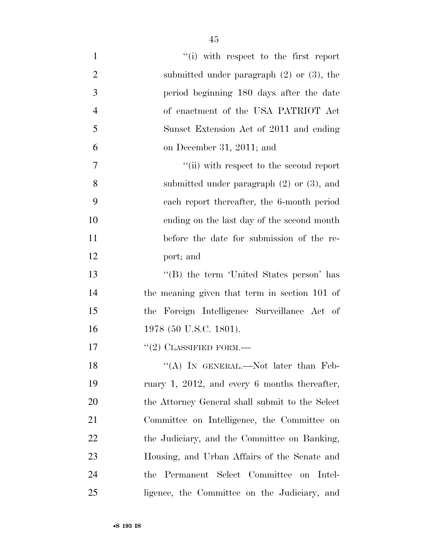| $\mathbf{1}$   | "(i) with respect to the first report           |
|----------------|-------------------------------------------------|
| $\overline{2}$ | submitted under paragraph $(2)$ or $(3)$ , the  |
| 3              | period beginning 180 days after the date        |
| $\overline{4}$ | of enactment of the USA PATRIOT Act             |
| 5              | Sunset Extension Act of 2011 and ending         |
| 6              | on December 31, 2011; and                       |
| 7              | "(ii) with respect to the second report         |
| 8              | submitted under paragraph $(2)$ or $(3)$ , and  |
| 9              | each report thereafter, the 6-month period      |
| 10             | ending on the last day of the second month      |
| 11             | before the date for submission of the re-       |
| 12             | port; and                                       |
| 13             | "(B) the term 'United States person' has        |
| 14             | the meaning given that term in section 101 of   |
| 15             | the Foreign Intelligence Surveillance Act of    |
| 16             | 1978 (50 U.S.C. 1801).                          |
| 17             | $``(2)$ CLASSIFIED FORM.—                       |
| 18             | "(A) IN GENERAL.—Not later than Feb-            |
| 19             | ruary 1, 2012, and every 6 months thereafter,   |
| 20             | the Attorney General shall submit to the Select |
| 21             | Committee on Intelligence, the Committee on     |
| 22             | the Judiciary, and the Committee on Banking,    |
| 23             | Housing, and Urban Affairs of the Senate and    |
| 24             | the Permanent Select Committee on Intel-        |
| 25             | ligence, the Committee on the Judiciary, and    |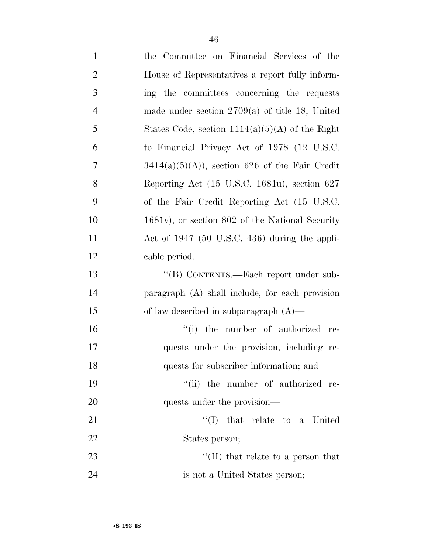| $\mathbf{1}$   | the Committee on Financial Services of the          |
|----------------|-----------------------------------------------------|
| $\overline{2}$ | House of Representatives a report fully inform-     |
| 3              | ing the committees concerning the requests          |
| $\overline{4}$ | made under section $2709(a)$ of title 18, United    |
| 5              | States Code, section $1114(a)(5)(A)$ of the Right   |
| 6              | to Financial Privacy Act of 1978 (12 U.S.C.         |
| 7              | $3414(a)(5)(A)$ , section 626 of the Fair Credit    |
| 8              | Reporting Act (15 U.S.C. 1681u), section 627        |
| 9              | of the Fair Credit Reporting Act (15 U.S.C.         |
| 10             | $1681v$ , or section $802$ of the National Security |
| 11             | Act of 1947 (50 U.S.C. 436) during the appli-       |
| 12             | cable period.                                       |
| 13             | "(B) CONTENTS.—Each report under sub-               |
| 14             | paragraph (A) shall include, for each provision     |
| 15             | of law described in subparagraph $(A)$ —            |
| 16             | "(i) the number of authorized re-                   |
| 17             | quests under the provision, including re-           |
| 18             | quests for subscriber information; and              |
| 19             | "(ii) the number of authorized re-                  |
| 20             | quests under the provision—                         |
| 21             | $\lq\lq$ (I) that relate to a United                |
| 22             | States person;                                      |
| 23             | "(II) that relate to a person that                  |
| 24             | is not a United States person;                      |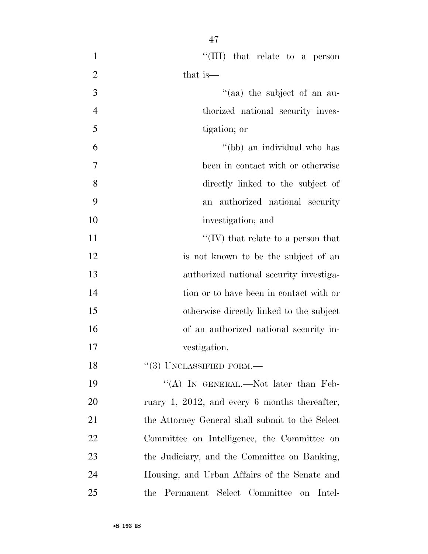$\text{``(III)}$  that relate to a person 2 that is—  $\frac{1}{2}$  and  $\frac{1}{2}$  the subject of an au- thorized national security inves- tigation; or ''(bb) an individual who has been in contact with or otherwise directly linked to the subject of an authorized national security 10 investigation; and  $\mathcal{C}(IV)$  that relate to a person that is not known to be the subject of an authorized national security investiga- tion or to have been in contact with or otherwise directly linked to the subject of an authorized national security in- vestigation. 18 "(3) UNCLASSIFIED FORM.— 19 "(A) In GENERAL.—Not later than Feb- ruary 1, 2012, and every 6 months thereafter, the Attorney General shall submit to the Select

Committee on Intelligence, the Committee on

the Judiciary, and the Committee on Banking,

Housing, and Urban Affairs of the Senate and

the Permanent Select Committee on Intel-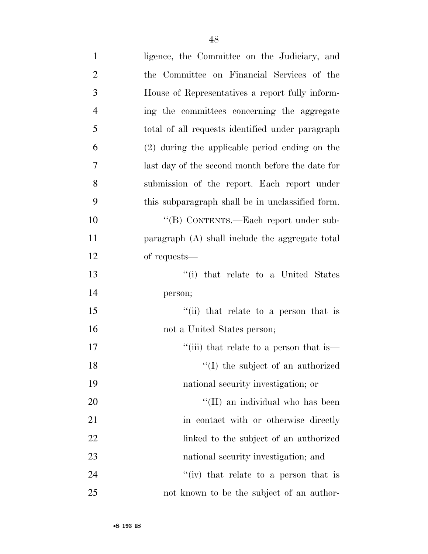| $\mathbf{1}$   | ligence, the Committee on the Judiciary, and                    |
|----------------|-----------------------------------------------------------------|
| $\overline{2}$ | the Committee on Financial Services of the                      |
| 3              | House of Representatives a report fully inform-                 |
| $\overline{4}$ | ing the committees concerning the aggregate                     |
| 5              | total of all requests identified under paragraph                |
| 6              | (2) during the applicable period ending on the                  |
| 7              | last day of the second month before the date for                |
| 8              | submission of the report. Each report under                     |
| 9              | this subparagraph shall be in unclassified form.                |
| 10             | "(B) CONTENTS.—Each report under sub-                           |
| 11             | paragraph (A) shall include the aggregate total                 |
| 12             | of requests—                                                    |
| 13             | "(i) that relate to a United States                             |
| 14             | person;                                                         |
| 15             | $\lq$ <sup>"</sup> (ii) that relate to a person that is         |
| 16             | not a United States person;                                     |
| 17             | "(iii) that relate to a person that is $\overline{\phantom{a}}$ |
| 18             | "(I) the subject of an authorized                               |
| 19             | national security investigation; or                             |
| 20             | "(II) an individual who has been                                |
| 21             | in contact with or otherwise directly                           |
| 22             | linked to the subject of an authorized                          |
| 23             | national security investigation; and                            |
| 24             | "(iv) that relate to a person that is                           |
| 25             | not known to be the subject of an author-                       |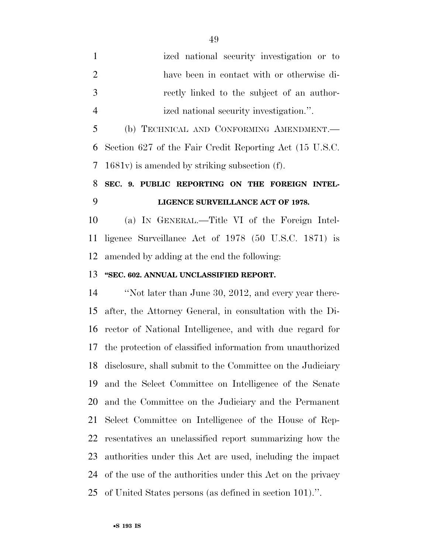ized national security investigation or to have been in contact with or otherwise di- rectly linked to the subject of an author- ized national security investigation.''. (b) TECHNICAL AND CONFORMING AMENDMENT.— Section 627 of the Fair Credit Reporting Act (15 U.S.C. 1681v) is amended by striking subsection (f).

## **SEC. 9. PUBLIC REPORTING ON THE FOREIGN INTEL-LIGENCE SURVEILLANCE ACT OF 1978.**

 (a) IN GENERAL.—Title VI of the Foreign Intel- ligence Surveillance Act of 1978 (50 U.S.C. 1871) is amended by adding at the end the following:

#### **''SEC. 602. ANNUAL UNCLASSIFIED REPORT.**

 ''Not later than June 30, 2012, and every year there- after, the Attorney General, in consultation with the Di- rector of National Intelligence, and with due regard for the protection of classified information from unauthorized disclosure, shall submit to the Committee on the Judiciary and the Select Committee on Intelligence of the Senate and the Committee on the Judiciary and the Permanent Select Committee on Intelligence of the House of Rep- resentatives an unclassified report summarizing how the authorities under this Act are used, including the impact of the use of the authorities under this Act on the privacy of United States persons (as defined in section 101).''.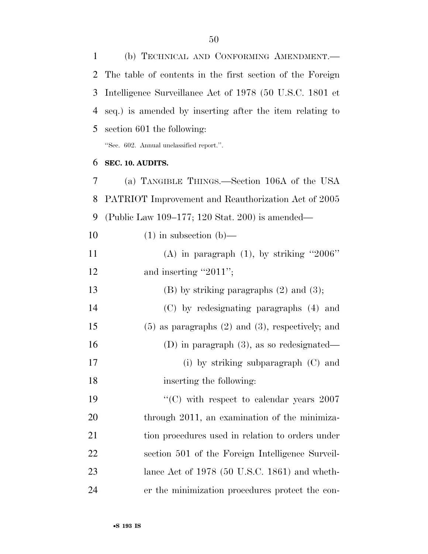(b) TECHNICAL AND CONFORMING AMENDMENT.— The table of contents in the first section of the Foreign Intelligence Surveillance Act of 1978 (50 U.S.C. 1801 et seq.) is amended by inserting after the item relating to section 601 the following: ''Sec. 602. Annual unclassified report.''. **SEC. 10. AUDITS.**  (a) TANGIBLE THINGS.—Section 106A of the USA PATRIOT Improvement and Reauthorization Act of 2005 (Public Law 109–177; 120 Stat. 200) is amended—  $(1)$  in subsection (b)—  $(A)$  in paragraph  $(1)$ , by striking "2006" 12 and inserting "2011"; 13 (B) by striking paragraphs (2) and (3); (C) by redesignating paragraphs (4) and (5) as paragraphs (2) and (3), respectively; and (D) in paragraph (3), as so redesignated— (i) by striking subparagraph (C) and inserting the following: 19 "'(C) with respect to calendar years 2007" 20 through 2011, an examination of the minimiza- tion procedures used in relation to orders under section 501 of the Foreign Intelligence Surveil- lance Act of 1978 (50 U.S.C. 1861) and wheth-er the minimization procedures protect the con-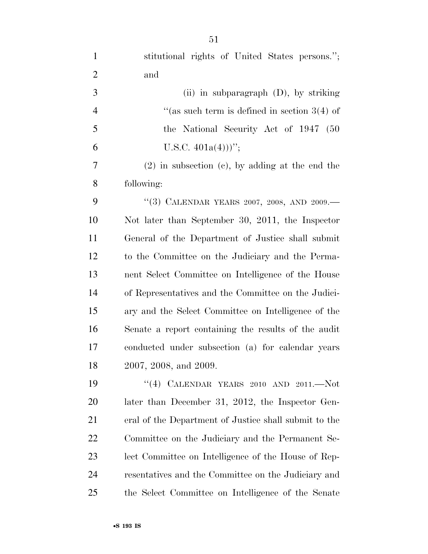| $\mathbf{1}$   | stitutional rights of United States persons.";        |
|----------------|-------------------------------------------------------|
| $\overline{2}$ | and                                                   |
| 3              | (ii) in subparagraph $(D)$ , by striking              |
| $\overline{4}$ | "(as such term is defined in section $3(4)$ of        |
| 5              | the National Security Act of 1947 (50                 |
| 6              | U.S.C. $401a(4))$ ";                                  |
| 7              | $(2)$ in subsection $(c)$ , by adding at the end the  |
| 8              | following:                                            |
| 9              | "(3) CALENDAR YEARS 2007, 2008, AND 2009.-            |
| 10             | Not later than September 30, 2011, the Inspector      |
| 11             | General of the Department of Justice shall submit     |
| 12             | to the Committee on the Judiciary and the Perma-      |
| 13             | nent Select Committee on Intelligence of the House    |
| 14             | of Representatives and the Committee on the Judici-   |
| 15             | ary and the Select Committee on Intelligence of the   |
| 16             | Senate a report containing the results of the audit   |
| 17             | conducted under subsection (a) for calendar years     |
| 18             | 2007, 2008, and 2009.                                 |
| 19             | "(4) CALENDAR YEARS 2010 AND 2011.-- $Not$            |
| 20             | later than December 31, 2012, the Inspector Gen-      |
| 21             | eral of the Department of Justice shall submit to the |
| <u>22</u>      | Committee on the Judiciary and the Permanent Se-      |
| 23             | lect Committee on Intelligence of the House of Rep-   |
| 24             | resentatives and the Committee on the Judiciary and   |
| 25             | the Select Committee on Intelligence of the Senate    |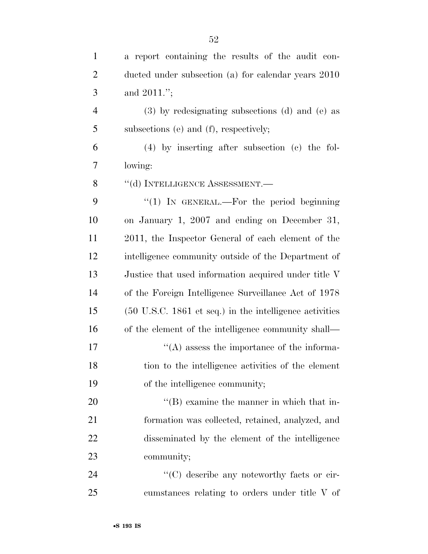| $\mathbf{1}$   | a report containing the results of the audit con-                          |
|----------------|----------------------------------------------------------------------------|
| $\overline{2}$ | ducted under subsection (a) for calendar years 2010                        |
| 3              | and $2011$ .";                                                             |
| $\overline{4}$ | (3) by redesignating subsections (d) and (e) as                            |
| 5              | subsections (e) and (f), respectively;                                     |
| 6              | $(4)$ by inserting after subsection $(c)$ the fol-                         |
| 7              | lowing:                                                                    |
| 8              | "(d) INTELLIGENCE ASSESSMENT.—                                             |
| 9              | "(1) IN GENERAL.—For the period beginning                                  |
| 10             | on January 1, 2007 and ending on December 31,                              |
| 11             | 2011, the Inspector General of each element of the                         |
| 12             | intelligence community outside of the Department of                        |
| 13             | Justice that used information acquired under title V                       |
| 14             | of the Foreign Intelligence Surveillance Act of 1978                       |
| 15             | $(50 \text{ U.S.C. } 1861 \text{ et seq.})$ in the intelligence activities |
| 16             | of the element of the intelligence community shall—                        |
| $17\,$         | $\lq\lq$ assess the importance of the informa-                             |
| 18             | tion to the intelligence activities of the element                         |
| 19             | of the intelligence community;                                             |
| 20             | $\lq\lq$ examine the manner in which that in-                              |
| 21             | formation was collected, retained, analyzed, and                           |
| 22             | disseminated by the element of the intelligence                            |
| 23             | community;                                                                 |
| 24             | "(C) describe any noteworthy facts or cir-                                 |
| 25             | cumstances relating to orders under title V of                             |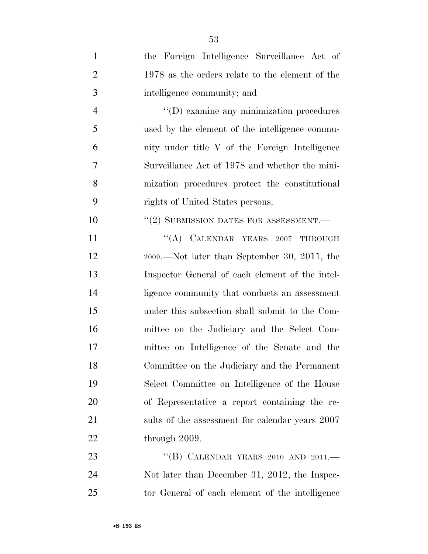| $\mathbf{1}$   | the Foreign Intelligence Surveillance Act of     |
|----------------|--------------------------------------------------|
| $\overline{2}$ | 1978 as the orders relate to the element of the  |
| 3              | intelligence community; and                      |
| $\overline{4}$ | $\lq\lq$ (D) examine any minimization procedures |
| 5              | used by the element of the intelligence commu-   |
| 6              | nity under title V of the Foreign Intelligence   |
| 7              | Surveillance Act of 1978 and whether the mini-   |
| 8              | mization procedures protect the constitutional   |
| 9              | rights of United States persons.                 |
| 10             | $``(2)$ SUBMISSION DATES FOR ASSESSMENT.—        |
| 11             | "(A) CALENDAR YEARS 2007 THROUGH                 |
| 12             | $2009.$ —Not later than September 30, 2011, the  |
| 13             | Inspector General of each element of the intel-  |
| 14             | ligence community that conducts an assessment    |
| 15             | under this subsection shall submit to the Com-   |
| 16             | mittee on the Judiciary and the Select Com-      |
| 17             | mittee on Intelligence of the Senate and the     |
| 18             | Committee on the Judiciary and the Permanent     |
| 19             | Select Committee on Intelligence of the House    |
| 20             | of Representative a report containing the re-    |
| 21             | sults of the assessment for calendar years 2007  |
| 22             | through 2009.                                    |
| 23             | "(B) CALENDAR YEARS 2010 AND 2011. $-$           |
| 24             | Not later than December 31, 2012, the Inspec-    |
| 25             | tor General of each element of the intelligence  |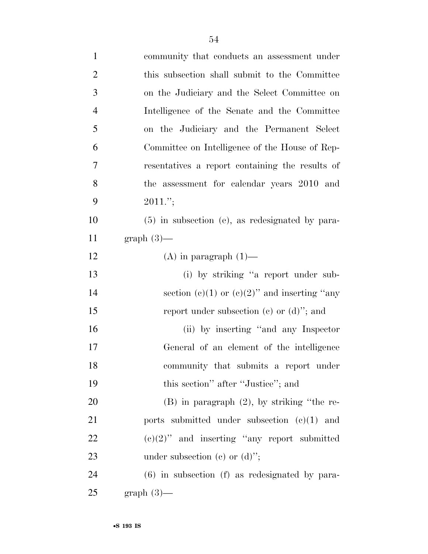| $\mathbf{1}$   | community that conducts an assessment under        |
|----------------|----------------------------------------------------|
| $\overline{2}$ | this subsection shall submit to the Committee      |
| 3              | on the Judiciary and the Select Committee on       |
| $\overline{4}$ | Intelligence of the Senate and the Committee       |
| 5              | on the Judiciary and the Permanent Select          |
| 6              | Committee on Intelligence of the House of Rep-     |
| 7              | resentatives a report containing the results of    |
| 8              | the assessment for calendar years 2010 and         |
| 9              | $2011$ .";                                         |
| 10             | $(5)$ in subsection (e), as redesignated by para-  |
| 11             | $graph(3)$ —                                       |
| 12             | $(A)$ in paragraph $(1)$ —                         |
| 13             | (i) by striking "a report under sub-               |
| 14             | section (c)(1) or (c)(2)" and inserting "any       |
| 15             | report under subsection (c) or $(d)$ "; and        |
| 16             | (ii) by inserting "and any Inspector"              |
| 17             | General of an element of the intelligence          |
| 18             | community that submits a report under              |
| 19             | this section" after "Justice"; and                 |
| 20             | $(B)$ in paragraph $(2)$ , by striking "the re-    |
| 21             | ports submitted under subsection $(e)(1)$ and      |
| <u>22</u>      | $(e)(2)$ " and inserting "any report submitted"    |
| 23             | under subsection (c) or $(d)$ ";                   |
| 24             | $(6)$ in subsection $(f)$ as redesignated by para- |
| 25             | $graph(3)$ —                                       |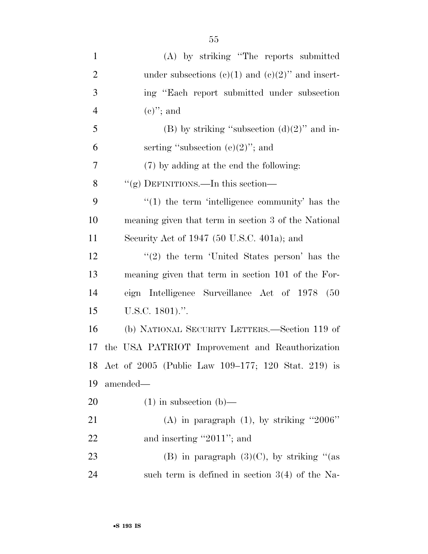| $\mathbf{1}$   | (A) by striking "The reports submitted                |
|----------------|-------------------------------------------------------|
| $\overline{2}$ | under subsections $(e)(1)$ and $(e)(2)$ " and insert- |
| 3              | ing "Each report submitted under subsection           |
| $\overline{4}$ | $(e)$ "; and                                          |
| 5              | (B) by striking "subsection $(d)(2)$ " and in-        |
| 6              | serting "subsection $(e)(2)$ "; and                   |
| 7              | (7) by adding at the end the following:               |
| 8              | "(g) DEFINITIONS.—In this section—                    |
| 9              | $\lq(1)$ the term 'intelligence community' has the    |
| 10             | meaning given that term in section 3 of the National  |
| 11             | Security Act of 1947 (50 U.S.C. 401a); and            |
| 12             | $\lq(2)$ the term 'United States person' has the      |
| 13             | meaning given that term in section 101 of the For-    |
| 14             | eign Intelligence Surveillance Act of 1978 (50        |
| 15             | U.S.C. $1801$ .".                                     |
| 16             | (b) NATIONAL SECURITY LETTERS.—Section 119 of         |
| 17             | the USA PATRIOT Improvement and Reauthorization       |
| 18             | Act of 2005 (Public Law 109–177; 120 Stat. 219) is    |
| 19             | amended—                                              |
| 20             | $(1)$ in subsection $(b)$ —                           |
| 21             | (A) in paragraph $(1)$ , by striking "2006"           |
| 22             | and inserting "2011"; and                             |
| 23             | (B) in paragraph $(3)(C)$ , by striking "(as          |
| 24             | such term is defined in section $3(4)$ of the Na-     |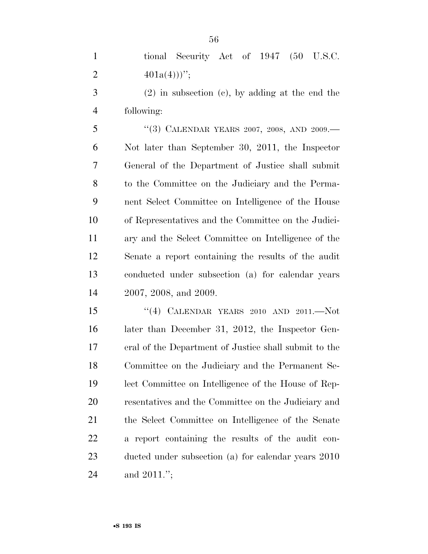|               | tional Security Act of 1947 (50 U.S.C. |  |  |  |
|---------------|----------------------------------------|--|--|--|
| $401a(4))$ "; |                                        |  |  |  |

 (2) in subsection (c), by adding at the end the following:

5 "(3) CALENDAR YEARS 2007, 2008, AND 2009.— Not later than September 30, 2011, the Inspector General of the Department of Justice shall submit to the Committee on the Judiciary and the Perma- nent Select Committee on Intelligence of the House of Representatives and the Committee on the Judici- ary and the Select Committee on Intelligence of the Senate a report containing the results of the audit conducted under subsection (a) for calendar years 2007, 2008, and 2009.

 ''(4) CALENDAR YEARS 2010 AND 2011.—Not later than December 31, 2012, the Inspector Gen- eral of the Department of Justice shall submit to the Committee on the Judiciary and the Permanent Se- lect Committee on Intelligence of the House of Rep- resentatives and the Committee on the Judiciary and the Select Committee on Intelligence of the Senate a report containing the results of the audit con- ducted under subsection (a) for calendar years 2010 and 2011.'';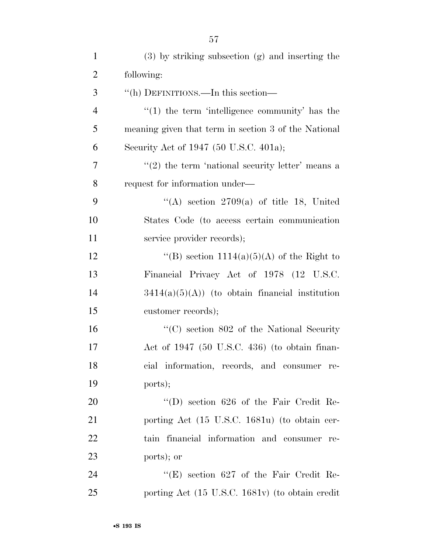| $\mathbf{1}$   | $(3)$ by striking subsection $(g)$ and inserting the |
|----------------|------------------------------------------------------|
| $\overline{2}$ | following:                                           |
| 3              | "(h) DEFINITIONS.—In this section—                   |
| $\overline{4}$ | $\lq(1)$ the term 'intelligence community' has the   |
| 5              | meaning given that term in section 3 of the National |
| 6              | Security Act of 1947 (50 U.S.C. 401a);               |
| $\overline{7}$ | $\lq(2)$ the term 'national security letter' means a |
| 8              | request for information under—                       |
| 9              | "(A) section $2709(a)$ of title 18, United           |
| 10             | States Code (to access certain communication         |
| 11             | service provider records);                           |
| 12             | "(B) section $1114(a)(5)(A)$ of the Right to         |
| 13             | Financial Privacy Act of 1978 (12 U.S.C.             |
| 14             | $3414(a)(5)(A)$ (to obtain financial institution     |
| 15             | customer records);                                   |
| 16             | $\lq\lq$ (C) section 802 of the National Security    |
| 17             | Act of $1947$ (50 U.S.C. 436) (to obtain finan-      |
| 18             | cial information, records, and consumer re-          |
| 19             | ports);                                              |
| 20             | $\lq\lq$ (D) section 626 of the Fair Credit Re-      |
| 21             | porting Act (15 U.S.C. 1681u) (to obtain cer-        |

ports); or

24 ''(E) section 627 of the Fair Credit Re-porting Act (15 U.S.C. 1681v) (to obtain credit

tain financial information and consumer re-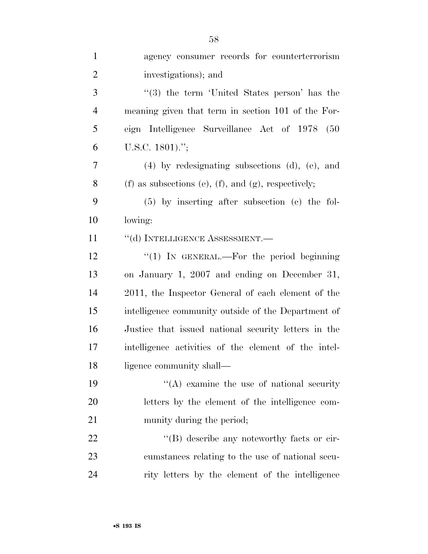| $\mathbf{1}$   | agency consumer records for counterterrorism                   |
|----------------|----------------------------------------------------------------|
| $\overline{2}$ | investigations); and                                           |
| 3              | $\cdot$ (3) the term 'United States person' has the            |
| $\overline{4}$ | meaning given that term in section 101 of the For-             |
| 5              | eign Intelligence Surveillance Act of 1978<br>(50)             |
| 6              | U.S.C. 1801).";                                                |
| $\overline{7}$ | $(4)$ by redesignating subsections $(d)$ , $(e)$ , and         |
| 8              | $(f)$ as subsections $(e)$ , $(f)$ , and $(g)$ , respectively; |
| 9              | $(5)$ by inserting after subsection $(e)$ the fol-             |
| 10             | lowing:                                                        |
| 11             | "(d) INTELLIGENCE ASSESSMENT.-                                 |
| 12             | " $(1)$ IN GENERAL.—For the period beginning                   |
| 13             | on January 1, 2007 and ending on December 31,                  |
| 14             | 2011, the Inspector General of each element of the             |
| 15             | intelligence community outside of the Department of            |
| 16             | Justice that issued national security letters in the           |
| 17             | intelligence activities of the element of the intel-           |
| 18             | ligence community shall—                                       |
| 19             | $\lq\lq$ examine the use of national security                  |
| 20             | letters by the element of the intelligence com-                |
| 21             | munity during the period;                                      |
| 22             | $\lq\lq (B)$ describe any noteworthy facts or cir-             |
| 23             | cumstances relating to the use of national secu-               |
| 24             | rity letters by the element of the intelligence                |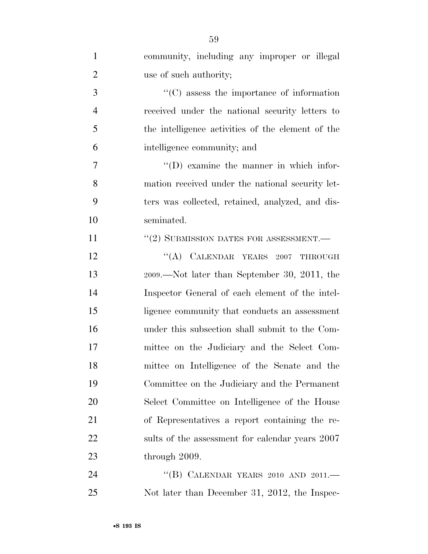| $\mathbf{1}$   | community, including any improper or illegal          |
|----------------|-------------------------------------------------------|
| $\overline{2}$ | use of such authority;                                |
| $\mathfrak{Z}$ | $\cdot\cdot$ (C) assess the importance of information |
| $\overline{4}$ | received under the national security letters to       |
| 5              | the intelligence activities of the element of the     |
| 6              | intelligence community; and                           |
| $\overline{7}$ | $\lq\lq$ (D) examine the manner in which infor-       |
| 8              | mation received under the national security let-      |
| 9              | ters was collected, retained, analyzed, and dis-      |
| 10             | seminated.                                            |
| 11             | $\lq (2)$ SUBMISSION DATES FOR ASSESSMENT.—           |
| 12             | "(A) CALENDAR YEARS 2007 THROUGH                      |
| 13             | 2009.—Not later than September 30, 2011, the          |
| 14             | Inspector General of each element of the intel-       |
| 15             | ligence community that conducts an assessment         |
| 16             | under this subsection shall submit to the Com-        |
| 17             | mittee on the Judiciary and the Select Com-           |
| 18             | mittee on Intelligence of the Senate and the          |
| 19             | Committee on the Judiciary and the Permanent          |
| 20             | Select Committee on Intelligence of the House         |
| 21             | of Representatives a report containing the re-        |
| 22             | sults of the assessment for calendar years 2007       |
| 23             | through 2009.                                         |
| 24             | "(B) CALENDAR YEARS 2010 AND 2011. $-$                |
| 25             | Not later than December 31, 2012, the Inspec-         |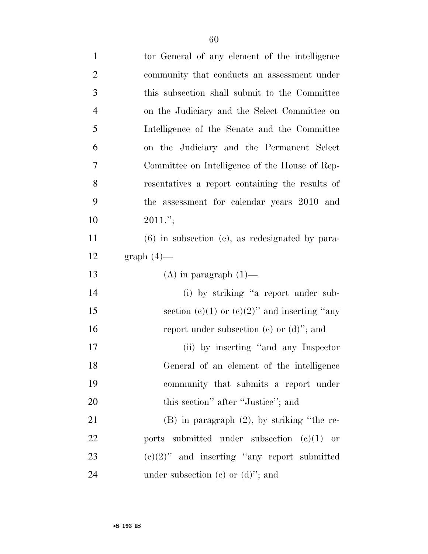| $\mathbf{1}$   | tor General of any element of the intelligence    |
|----------------|---------------------------------------------------|
| $\overline{2}$ | community that conducts an assessment under       |
| 3              | this subsection shall submit to the Committee     |
| $\overline{4}$ | on the Judiciary and the Select Committee on      |
| 5              | Intelligence of the Senate and the Committee      |
| 6              | on the Judiciary and the Permanent Select         |
| $\tau$         | Committee on Intelligence of the House of Rep-    |
| 8              | resentatives a report containing the results of   |
| 9              | the assessment for calendar years 2010 and        |
| 10             | $2011$ .";                                        |
| 11             | $(6)$ in subsection (e), as redesignated by para- |
| 12             | $graph(4)$ —                                      |
|                |                                                   |
| 13             | $(A)$ in paragraph $(1)$ —                        |
| 14             | (i) by striking "a report under sub-              |
| 15             | section (c)(1) or (c)(2)" and inserting "any      |
| 16             | report under subsection (c) or $(d)$ "; and       |
| 17             | (ii) by inserting "and any Inspector"             |
| 18             | General of an element of the intelligence         |
| 19             | community that submits a report under             |
| 20             | this section" after "Justice"; and                |
| 21             | $(B)$ in paragraph $(2)$ , by striking "the re-   |
| 22             | ports submitted under subsection $(e)(1)$ or      |
| 23             | $(e)(2)$ " and inserting "any report submitted    |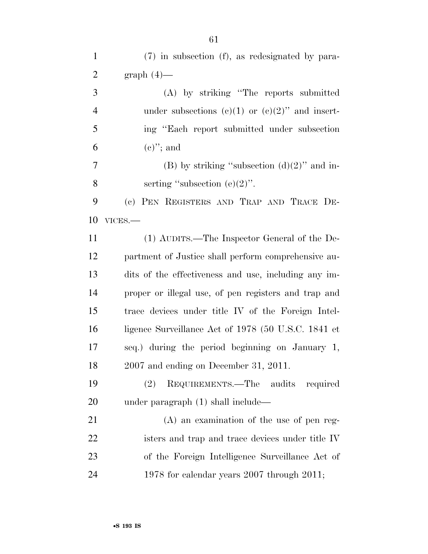| $\mathbf{1}$   | (7) in subsection (f), as redesignated by para-      |
|----------------|------------------------------------------------------|
| $\overline{2}$ | $graph(4)$ —                                         |
| 3              | (A) by striking "The reports submitted               |
| $\overline{4}$ | under subsections (c)(1) or (c)(2)" and insert-      |
| 5              | ing "Each report submitted under subsection"         |
| 6              | $(e)$ "; and                                         |
| 7              | (B) by striking "subsection $(d)(2)$ " and in-       |
| 8              | serting "subsection $(e)(2)$ ".                      |
| 9              | (c) PEN REGISTERS AND TRAP AND TRACE DE-             |
| 10             | VICES.-                                              |
| 11             | (1) AUDITS.—The Inspector General of the De-         |
| 12             | partment of Justice shall perform comprehensive au-  |
| 13             | dits of the effectiveness and use, including any im- |
| 14             | proper or illegal use, of pen registers and trap and |
| 15             | trace devices under title IV of the Foreign Intel-   |
| 16             | ligence Surveillance Act of 1978 (50 U.S.C. 1841 et  |
| 17             | seq.) during the period beginning on January 1,      |
| 18             | 2007 and ending on December 31, 2011.                |
| 19             | REQUIREMENTS.—The audits<br>required<br>(2)          |
| <b>20</b>      | under paragraph $(1)$ shall include—                 |
| 21             | $(A)$ an examination of the use of pen reg-          |
| 22             | isters and trap and trace devices under title IV     |
| 23             | of the Foreign Intelligence Surveillance Act of      |
| 24             | 1978 for calendar years $2007$ through $2011$ ;      |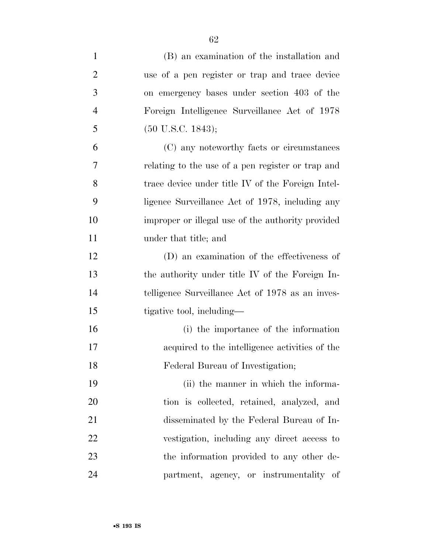| $\mathbf{1}$   | (B) an examination of the installation and        |
|----------------|---------------------------------------------------|
| $\overline{2}$ | use of a pen register or trap and trace device    |
| 3              | on emergency bases under section 403 of the       |
| $\overline{4}$ | Foreign Intelligence Surveillance Act of 1978     |
| 5              | $(50 \text{ U.S.C. } 1843);$                      |
| 6              | (C) any noteworthy facts or circumstances         |
| 7              | relating to the use of a pen register or trap and |
| 8              | trace device under title IV of the Foreign Intel- |
| 9              | ligence Surveillance Act of 1978, including any   |
| 10             | improper or illegal use of the authority provided |
| 11             | under that title; and                             |
| 12             | (D) an examination of the effectiveness of        |
| 13             | the authority under title IV of the Foreign In-   |
| 14             | telligence Surveillance Act of 1978 as an inves-  |
| 15             | tigative tool, including—                         |
| 16             | (i) the importance of the information             |
| 17             | acquired to the intelligence activities of the    |
| 18             | Federal Bureau of Investigation;                  |
| 19             | (ii) the manner in which the informa-             |
| 20             | tion is collected, retained, analyzed, and        |
| 21             | disseminated by the Federal Bureau of In-         |
| 22             | vestigation, including any direct access to       |
| 23             | the information provided to any other de-         |
| 24             | partment, agency, or instrumentality of           |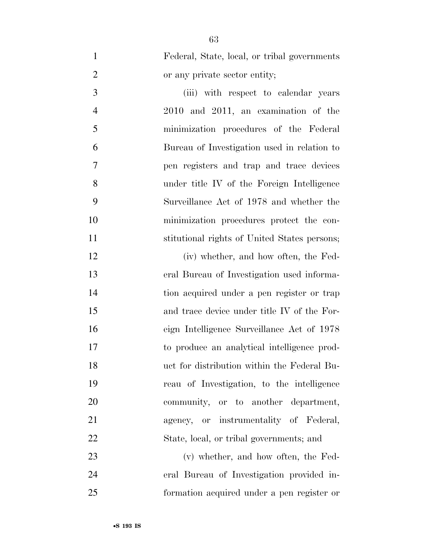Federal, State, local, or tribal governments or any private sector entity;

 (iii) with respect to calendar years 2010 and 2011, an examination of the minimization procedures of the Federal Bureau of Investigation used in relation to pen registers and trap and trace devices under title IV of the Foreign Intelligence Surveillance Act of 1978 and whether the minimization procedures protect the con-stitutional rights of United States persons;

 (iv) whether, and how often, the Fed- eral Bureau of Investigation used informa- tion acquired under a pen register or trap and trace device under title IV of the For- eign Intelligence Surveillance Act of 1978 to produce an analytical intelligence prod- uct for distribution within the Federal Bu- reau of Investigation, to the intelligence community, or to another department, agency, or instrumentality of Federal, State, local, or tribal governments; and

 (v) whether, and how often, the Fed- eral Bureau of Investigation provided in-formation acquired under a pen register or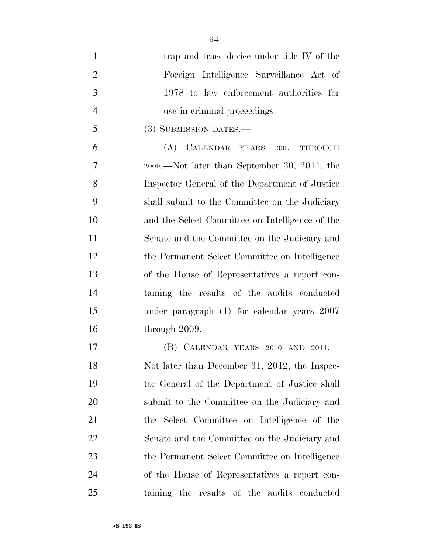| $\mathbf{1}$   | trap and trace device under title IV of the     |
|----------------|-------------------------------------------------|
| $\overline{2}$ | Foreign Intelligence Surveillance Act of        |
| 3              | 1978 to law enforcement authorities for         |
| $\overline{4}$ | use in criminal proceedings.                    |
| 5              | (3) SUBMISSION DATES.—                          |
| 6              | (A) CALENDAR YEARS 2007<br>THROUGH              |
| 7              | 2009.—Not later than September 30, 2011, the    |
| 8              | Inspector General of the Department of Justice  |
| 9              | shall submit to the Committee on the Judiciary  |
| 10             | and the Select Committee on Intelligence of the |
| 11             | Senate and the Committee on the Judiciary and   |
| 12             | the Permanent Select Committee on Intelligence  |
| 13             | of the House of Representatives a report con-   |
| 14             | taining the results of the audits conducted     |
| 15             | under paragraph $(1)$ for calendar years $2007$ |
| 16             | through 2009.                                   |
| 17             | (B) CALENDAR YEARS 2010 AND 2011.-              |
| 18             | Not later than December 31, 2012, the Inspec-   |
| 19             | tor General of the Department of Justice shall  |
| 20             | submit to the Committee on the Judiciary and    |
| 21             | the Select Committee on Intelligence of the     |
| <u>22</u>      | Senate and the Committee on the Judiciary and   |
| 23             | the Permanent Select Committee on Intelligence  |
| 24             | of the House of Representatives a report con-   |
| 25             | taining the results of the audits conducted     |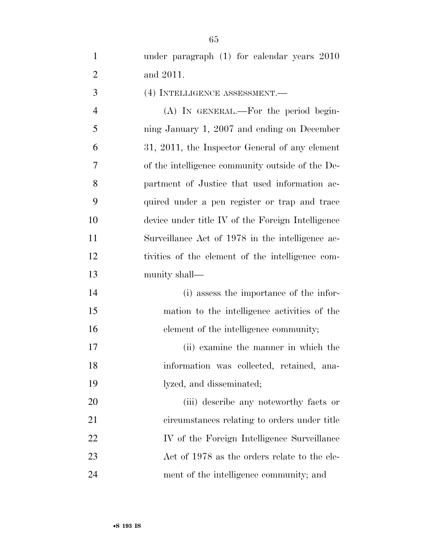under paragraph (1) for calendar years 2010 and 2011.

(4) INTELLIGENCE ASSESSMENT.—

 (A) IN GENERAL.—For the period begin- ning January 1, 2007 and ending on December 31, 2011, the Inspector General of any element of the intelligence community outside of the De- partment of Justice that used information ac- quired under a pen register or trap and trace device under title IV of the Foreign Intelligence Surveillance Act of 1978 in the intelligence ac- tivities of the element of the intelligence com-munity shall—

 (i) assess the importance of the infor- mation to the intelligence activities of the 16 element of the intelligence community;

 (ii) examine the manner in which the information was collected, retained, ana-lyzed, and disseminated;

 (iii) describe any noteworthy facts or circumstances relating to orders under title 22 IV of the Foreign Intelligence Surveillance 23 Act of 1978 as the orders relate to the ele-ment of the intelligence community; and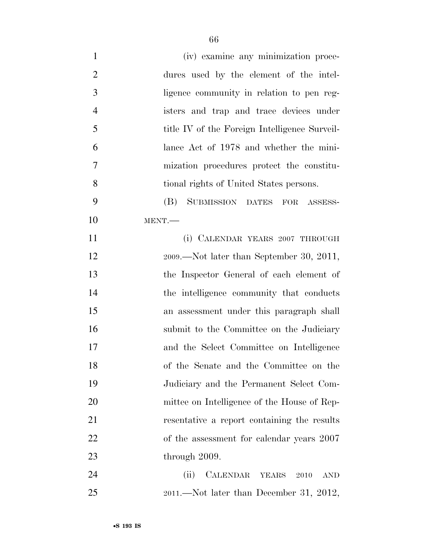| $\mathbf{1}$   | (iv) examine any minimization proce-          |
|----------------|-----------------------------------------------|
| $\overline{2}$ | dures used by the element of the intel-       |
| 3              | ligence community in relation to pen reg-     |
| $\overline{4}$ | isters and trap and trace devices under       |
| 5              | title IV of the Foreign Intelligence Surveil- |
| 6              | lance Act of 1978 and whether the mini-       |
| 7              | mization procedures protect the constitu-     |
| 8              | tional rights of United States persons.       |
| 9              | SUBMISSION DATES FOR ASSESS-<br>(B)           |
| 10             | MENT.                                         |
| 11             | (i) CALENDAR YEARS 2007 THROUGH               |
| 12             | $2009$ .—Not later than September 30, 2011,   |
| 13             | the Inspector General of each element of      |
| 14             | the intelligence community that conducts      |
| 15             | an assessment under this paragraph shall      |
| 16             | submit to the Committee on the Judiciary      |
| 17             | and the Select Committee on Intelligence      |
| 18             | of the Senate and the Committee on the        |
| 19             | Judiciary and the Permanent Select Com-       |
| 20             | mittee on Intelligence of the House of Rep-   |
| 21             | resentative a report containing the results   |
| 22             | of the assessment for calendar years 2007     |
| 23             | through 2009.                                 |
| 24             | CALENDAR YEARS 2010<br>(ii)<br><b>AND</b>     |
| 25             | $2011$ .—Not later than December 31, 2012,    |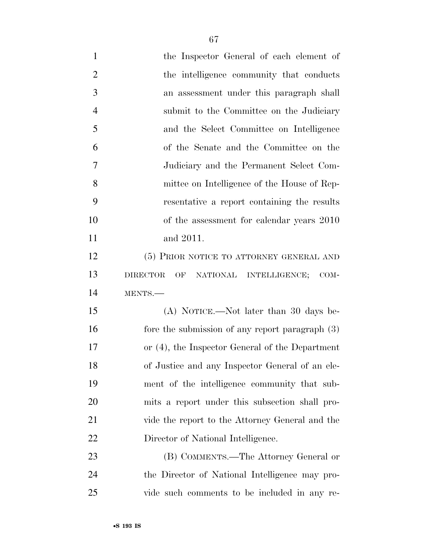the Inspector General of each element of 2 the intelligence community that conducts an assessment under this paragraph shall submit to the Committee on the Judiciary and the Select Committee on Intelligence of the Senate and the Committee on the Judiciary and the Permanent Select Com- mittee on Intelligence of the House of Rep- resentative a report containing the results of the assessment for calendar years 2010 and 2011. 12 (5) PRIOR NOTICE TO ATTORNEY GENERAL AND DIRECTOR OF NATIONAL INTELLIGENCE; COM- MENTS.— (A) NOTICE.—Not later than 30 days be-16 fore the submission of any report paragraph (3) or (4), the Inspector General of the Department of Justice and any Inspector General of an ele- ment of the intelligence community that sub-mits a report under this subsection shall pro-

•**S 193 IS**

 (B) COMMENTS.—The Attorney General or the Director of National Intelligence may pro-vide such comments to be included in any re-

vide the report to the Attorney General and the

Director of National Intelligence.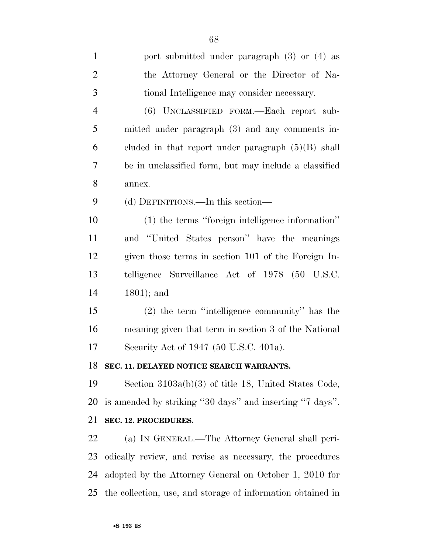| $\mathbf{1}$   | port submitted under paragraph $(3)$ or $(4)$ as            |
|----------------|-------------------------------------------------------------|
| $\overline{2}$ | the Attorney General or the Director of Na-                 |
| 3              | tional Intelligence may consider necessary.                 |
| $\overline{4}$ | (6) UNCLASSIFIED FORM.—Each report sub-                     |
| 5              | mitted under paragraph (3) and any comments in-             |
| 6              | cluded in that report under paragraph $(5)(B)$ shall        |
| 7              | be in unclassified form, but may include a classified       |
| 8              | annex.                                                      |
| 9              | (d) DEFINITIONS.—In this section—                           |
| 10             | (1) the terms "foreign intelligence information"            |
| 11             | and "United States person" have the meanings                |
| 12             | given those terms in section 101 of the Foreign In-         |
| 13             | telligence Surveillance Act of 1978 (50 U.S.C.              |
| 14             | $1801$ ; and                                                |
| 15             | $(2)$ the term "intelligence community" has the             |
| 16             | meaning given that term in section 3 of the National        |
| 17             | Security Act of 1947 (50 U.S.C. 401a).                      |
| 18             | SEC. 11. DELAYED NOTICE SEARCH WARRANTS.                    |
| 19             | Section $3103a(b)(3)$ of title 18, United States Code,      |
| 20             | is amended by striking "30 days" and inserting "7 days".    |
| 21             | SEC. 12. PROCEDURES.                                        |
| 22             | (a) IN GENERAL.—The Attorney General shall peri-            |
| 23             | odically review, and revise as necessary, the procedures    |
| 24             | adopted by the Attorney General on October 1, 2010 for      |
| 25             | the collection, use, and storage of information obtained in |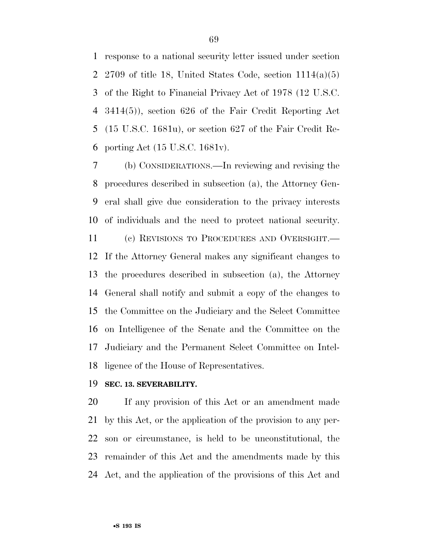response to a national security letter issued under section 2 2709 of title 18, United States Code, section  $1114(a)(5)$  of the Right to Financial Privacy Act of 1978 (12 U.S.C. 3414(5)), section 626 of the Fair Credit Reporting Act (15 U.S.C. 1681u), or section 627 of the Fair Credit Re-porting Act (15 U.S.C. 1681v).

 (b) CONSIDERATIONS.—In reviewing and revising the procedures described in subsection (a), the Attorney Gen- eral shall give due consideration to the privacy interests of individuals and the need to protect national security.

 (c) REVISIONS TO PROCEDURES AND OVERSIGHT.— If the Attorney General makes any significant changes to the procedures described in subsection (a), the Attorney General shall notify and submit a copy of the changes to the Committee on the Judiciary and the Select Committee on Intelligence of the Senate and the Committee on the Judiciary and the Permanent Select Committee on Intel-ligence of the House of Representatives.

#### **SEC. 13. SEVERABILITY.**

 If any provision of this Act or an amendment made by this Act, or the application of the provision to any per- son or circumstance, is held to be unconstitutional, the remainder of this Act and the amendments made by this Act, and the application of the provisions of this Act and